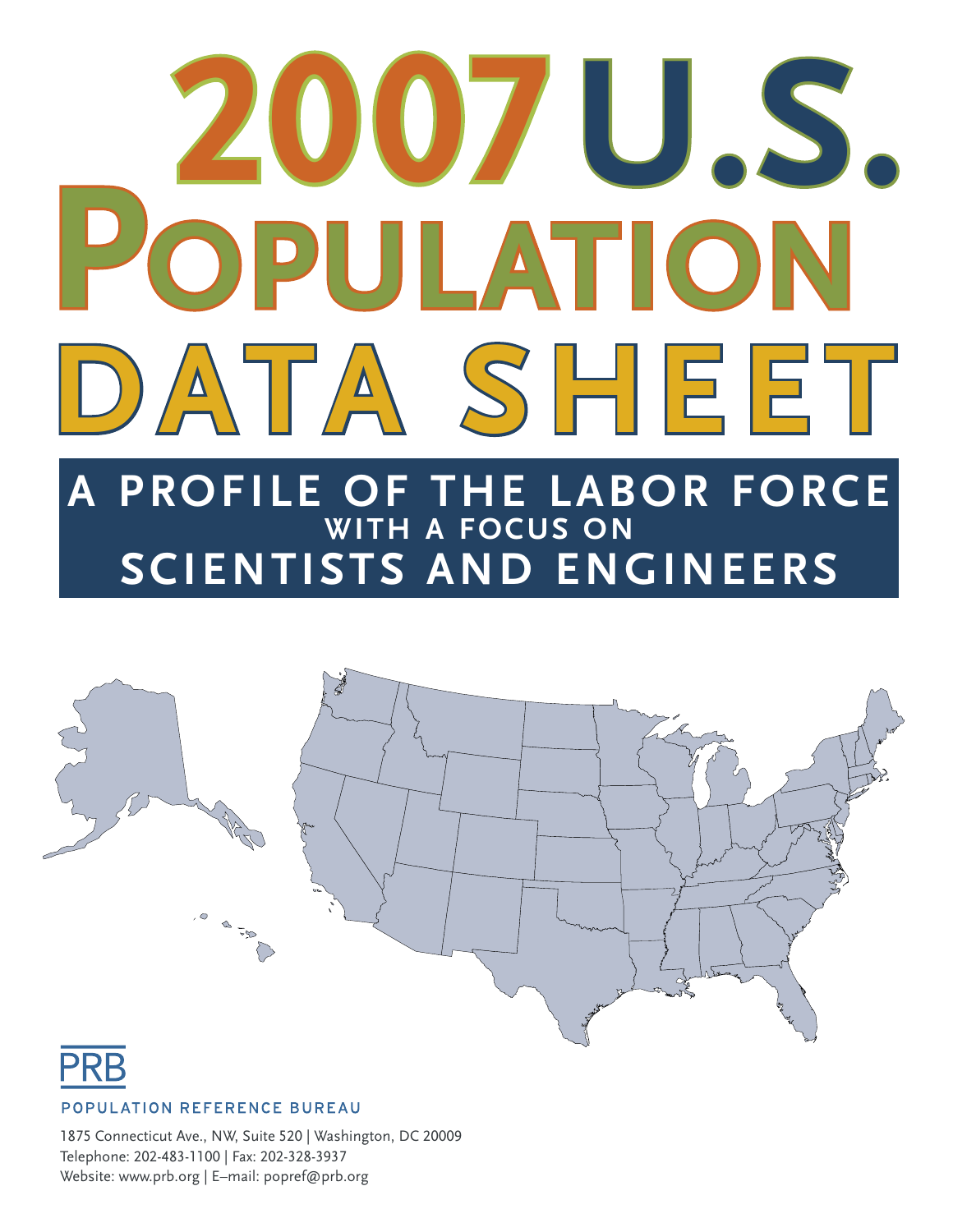# **A PROFILE OF THE LABOR FORCE WITH A FOCUS ON 2007U.S. DATA SHEET POPULATION**

**SCIENTISTS AND ENGINEERS**





#### POPULATION REFERENCE BUREAU

1875 Connecticut Ave., NW, Suite 520 | Washington, DC 20009 Telephone: 202-483-1100 | Fax: 202-328-3937 Website: www.prb.org | E–mail: popref@prb.org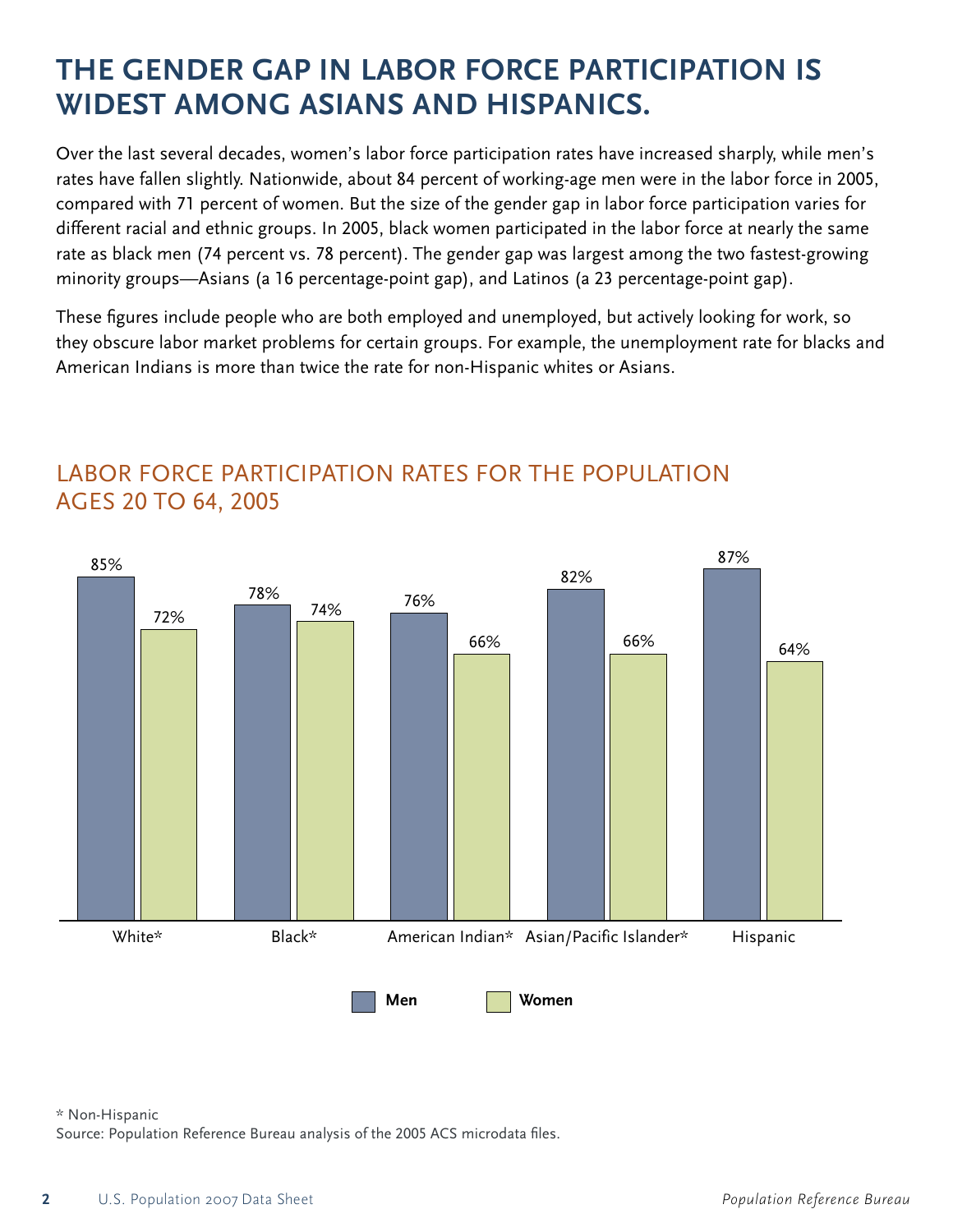# THE GENDER GAP IN LABOR FORCE PARTICIPATION IS **WIDEST AMONG ASIANS AND HISPANICS.**

Over the last several decades, women's labor force participation rates have increased sharply, while men's rates have fallen slightly. Nationwide, about 84 percent of working-age men were in the labor force in 2005, compared with 71 percent of women. But the size of the gender gap in labor force participation varies for different racial and ethnic groups. In 2005, black women participated in the labor force at nearly the same rate as black men (74 percent vs. 78 percent). The gender gap was largest among the two fastest-growing minority groups-Asians (a 16 percentage-point gap), and Latinos (a 23 percentage-point gap).

These figures include people who are both employed and unemployed, but actively looking for work, so they obscure labor market problems for certain groups. For example, the unemployment rate for blacks and American Indians is more than twice the rate for non-Hispanic whites or Asians.



## LABOR FORCE PARTICIPATION RATES FOR THE POPULATION AGES 20 TO 64, 2005

\* Non-Hispanic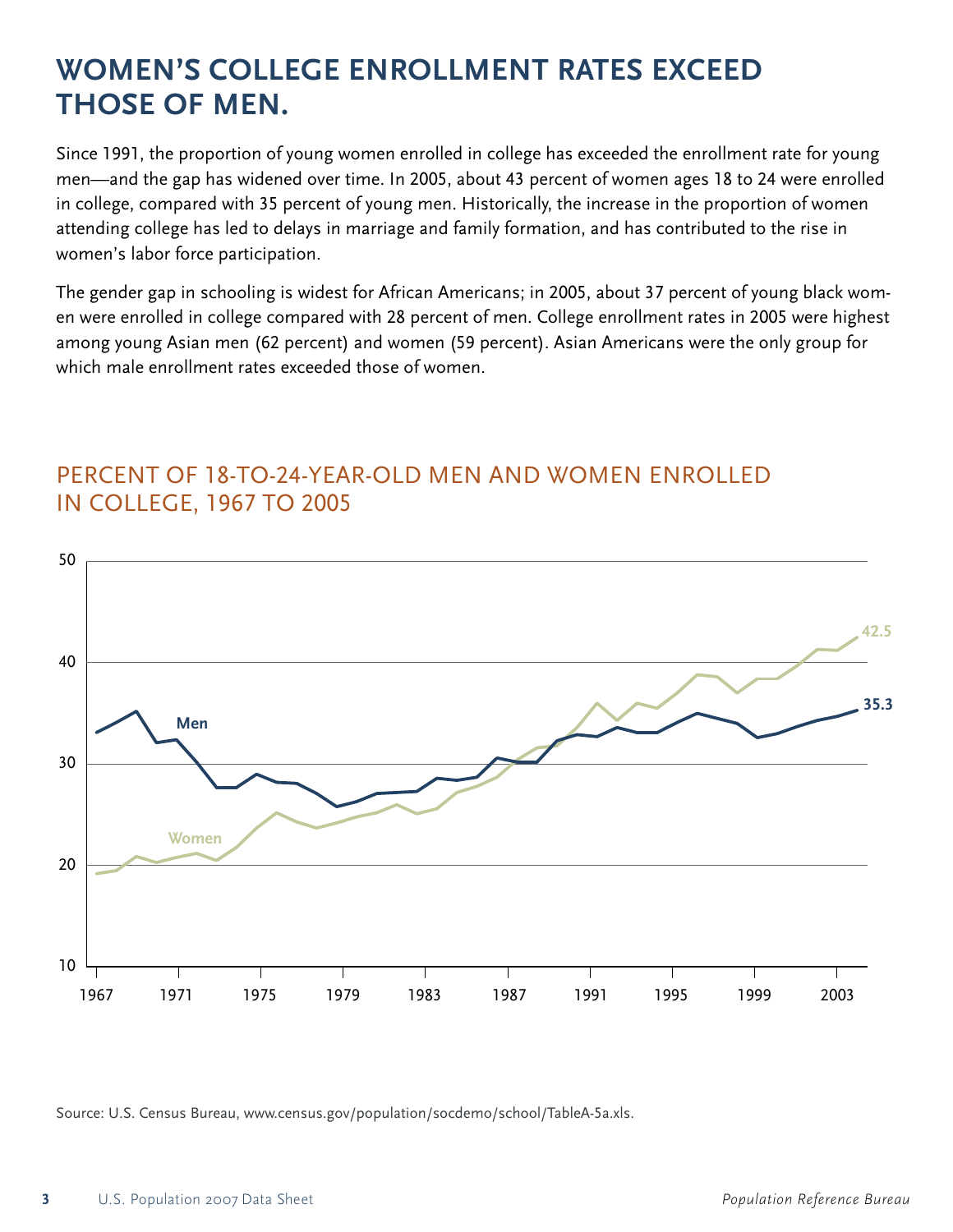# **WOMEN'S COLLEGE ENROLLMENT RATES EXCEED THOSE OF MEN.**

Since 1991, the proportion of young women enrolled in college has exceeded the enrollment rate for young men—and the gap has widened over time. In 2005, about 43 percent of women ages 18 to 24 were enrolled in college, compared with 35 percent of young men. Historically, the increase in the proportion of women attending college has led to delays in marriage and family formation, and has contributed to the rise in women's labor force participation.

The gender gap in schooling is widest for African Americans; in 2005, about 37 percent of young black women were enrolled in college compared with 28 percent of men. College enrollment rates in 2005 were highest among young Asian men (62 percent) and women (59 percent). Asian Americans were the only group for which male enrollment rates exceeded those of women.



## PERCENT OF 18-TO-24-YEAR-OLD MEN AND WOMEN ENROLLED **IN COLLEGE, 1967 TO 2005**

Source: U.S. Census Bureau, www.census.gov/population/socdemo/school/TableA-5a.xls.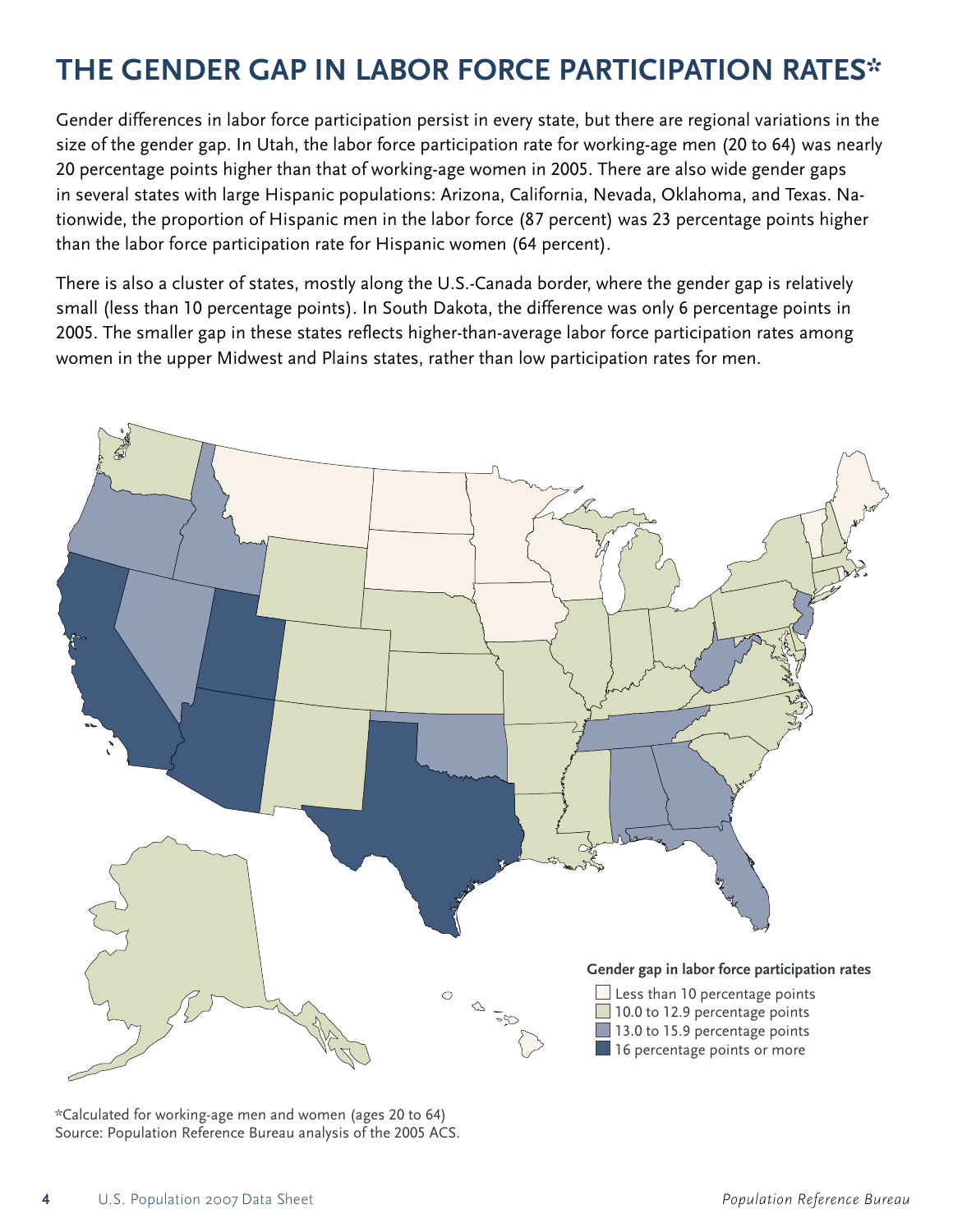# **THE GENDER GAP IN LABOR FORCE PARTICIPATION RATES\***

Gender differences in labor force participation persist in every state, but there are regional variations in the size of the gender gap. In Utah, the labor force participation rate for working-age men (20 to 64) was nearly 20 percentage points higher than that of working-age women in 2005. There are also wide gender gaps in several states with large Hispanic populations: Arizona, California, Nevada, Oklahoma, and Texas. Nationwide, the proportion of Hispanic men in the labor force (87 percent) was 23 percentage points higher than the labor force participation rate for Hispanic women (64 percent).

There is also a cluster of states, mostly along the U.S.-Canada border, where the gender gap is relatively small (less than 10 percentage points). In South Dakota, the difference was only 6 percentage points in 2005. The smaller gap in these states reflects higher-than-average labor force participation rates among women in the upper Midwest and Plains states, rather than low participation rates for men.



\*Calculated for working-age men and women (ages 20 to 64) Source: Population Reference Bureau analysis of the 2005 ACS.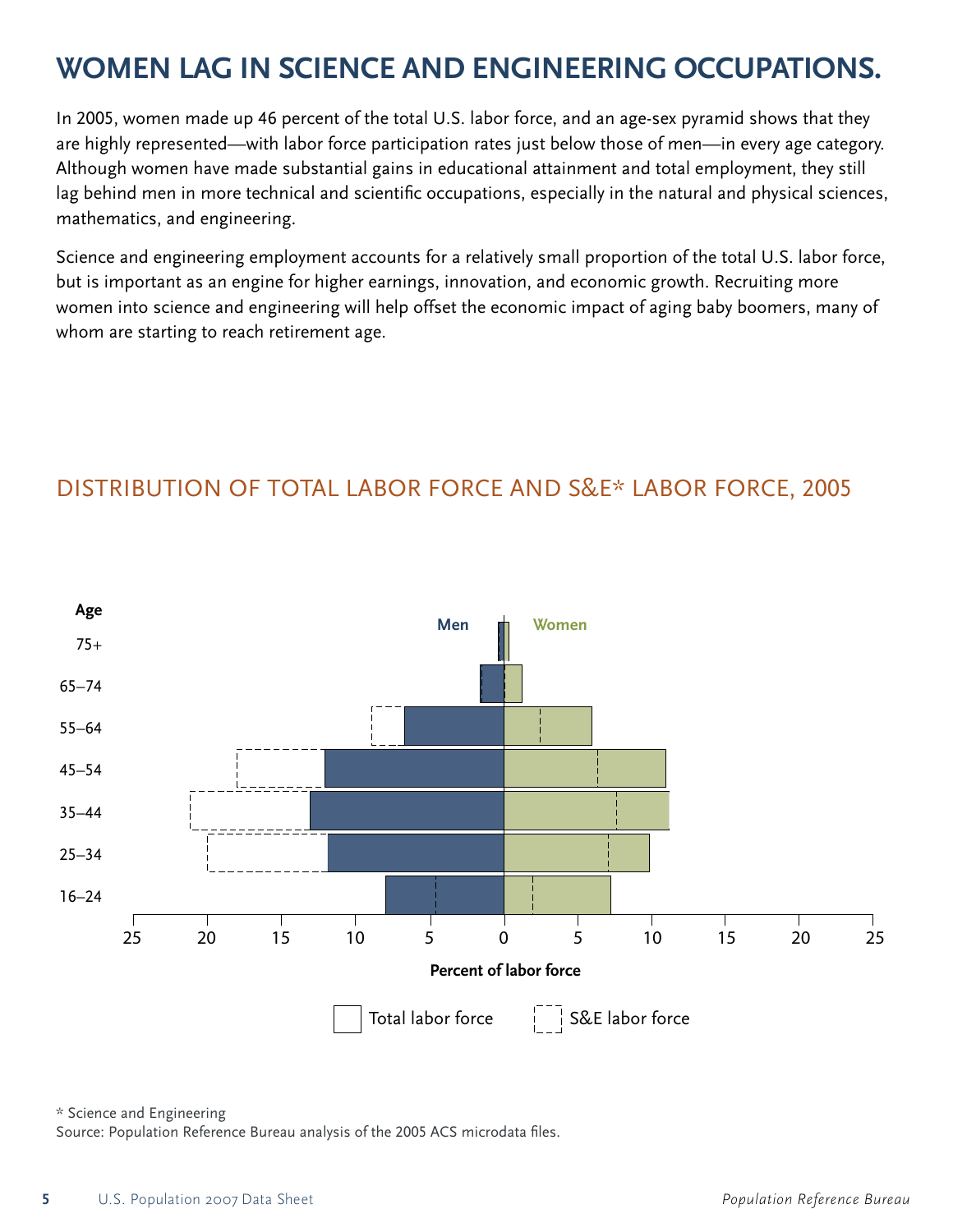# WOMEN LAG IN SCIENCE AND ENGINEERING OCCUPATIONS.

In 2005, women made up 46 percent of the total U.S. labor force, and an age-sex pyramid shows that they are highly represented—with labor force participation rates just below those of men—in every age category. Although women have made substantial gains in educational attainment and total employment, they still lag behind men in more technical and scientific occupations, especially in the natural and physical sciences, mathematics, and engineering.

Science and engineering employment accounts for a relatively small proportion of the total U.S. labor force, but is important as an engine for higher earnings, innovation, and economic growth. Recruiting more women into science and engineering will help offset the economic impact of aging baby boomers, many of whom are starting to reach retirement age.

## DISTRIBUTION OF TOTAL LABOR FORCE AND S&E\* LABOR FORCE, 2005



\* Science and Engineering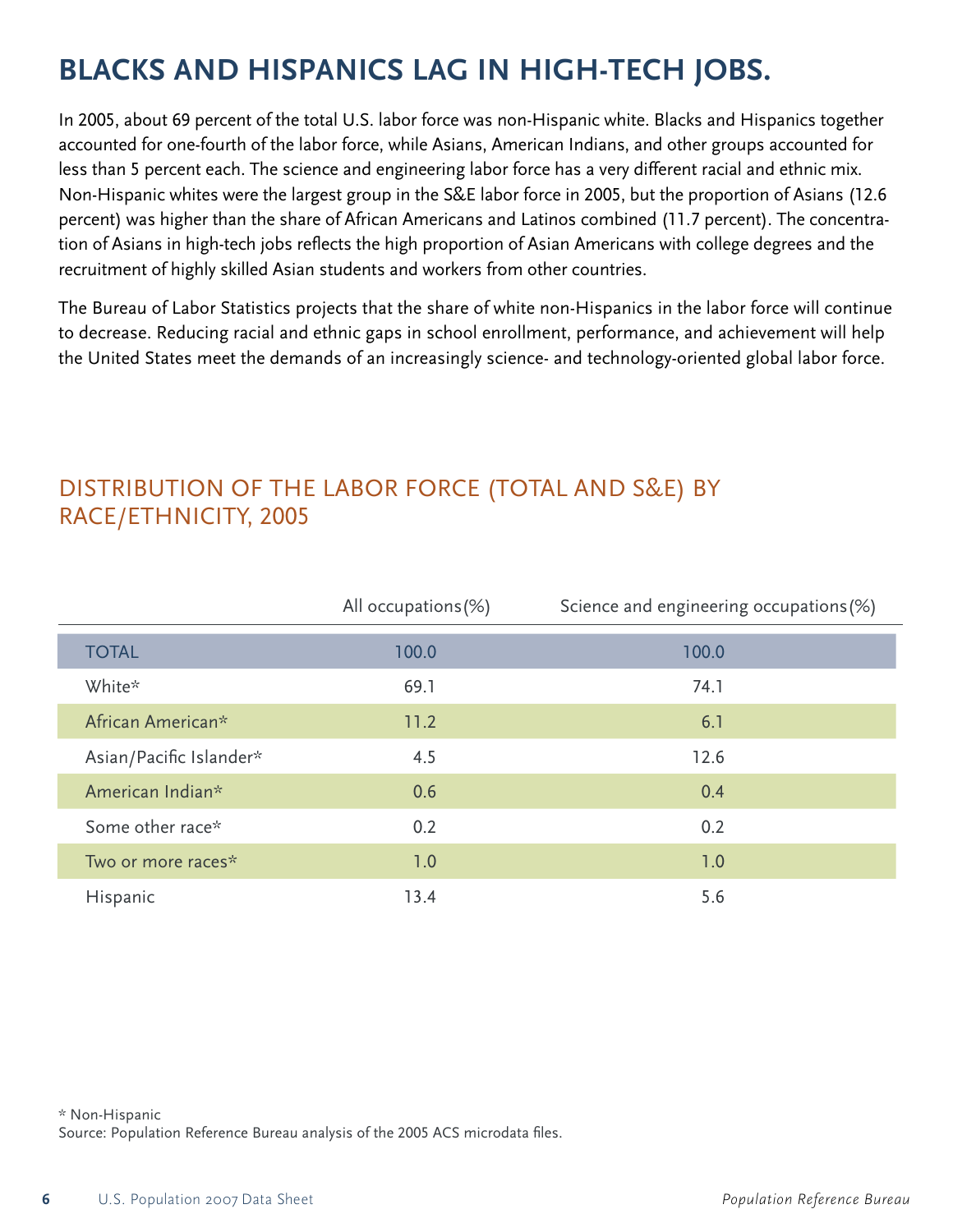# **BLACKS AND HISPANICS LAG IN HIGH-TECH JOBS.**

In 2005, about 69 percent of the total U.S. labor force was non-Hispanic white. Blacks and Hispanics together accounted for one-fourth of the labor force, while Asians, American Indians, and other groups accounted for less than 5 percent each. The science and engineering labor force has a very different racial and ethnic mix. Non-Hispanic whites were the largest group in the S&E labor force in 2005, but the proportion of Asians (12.6 percent) was higher than the share of African Americans and Latinos combined (11.7 percent). The concentration of Asians in high-tech jobs reflects the high proportion of Asian Americans with college degrees and the recruitment of highly skilled Asian students and workers from other countries.

The Bureau of Labor Statistics projects that the share of white non-Hispanics in the labor force will continue to decrease. Reducing racial and ethnic gaps in school enrollment, performance, and achievement will help the United States meet the demands of an increasingly science- and technology-oriented global labor force.

## DISTRIBUTION OF THE LABOR FORCE (TOTAL AND S&E) BY RACE/ETHNICITY, 2005

|                         | All occupations (%) | Science and engineering occupations (%) |
|-------------------------|---------------------|-----------------------------------------|
| <b>TOTAL</b>            | 100.0               | 100.0                                   |
| White*                  | 69.1                | 74.1                                    |
| African American*       | 11.2                | 6.1                                     |
| Asian/Pacific Islander* | 4.5                 | 12.6                                    |
| American Indian*        | 0.6                 | 0.4                                     |
| Some other race*        | 0.2                 | 0.2                                     |
| Two or more races*      | 1.0                 | 1.0                                     |
| Hispanic                | 13.4                | 5.6                                     |

\* Non-Hispanic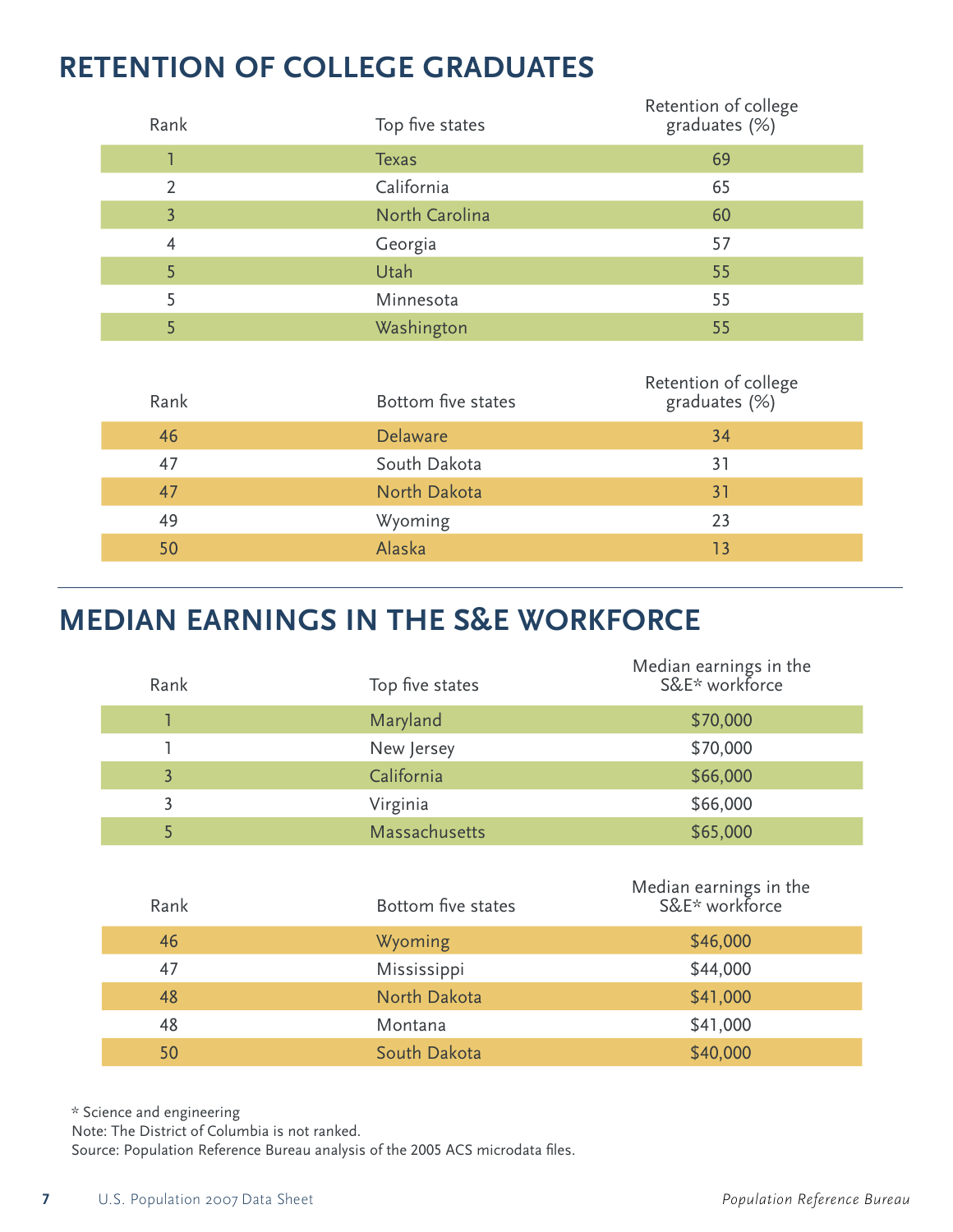# **RETENTION OF COLLEGE GRADUATES**

| Rank           | Top five states       | Retention of college<br>graduates (%) |
|----------------|-----------------------|---------------------------------------|
|                | <b>Texas</b>          | 69                                    |
| 2              | California            | 65                                    |
| $\overline{3}$ | <b>North Carolina</b> | 60                                    |
| $\overline{4}$ | Georgia               | 57                                    |
| 5              | Utah                  | 55                                    |
| 5              | Minnesota             | 55                                    |
| 5              | Washington            | 55                                    |
| Rank           | Bottom five states    | Retention of college<br>graduates (%) |

| KALIN | <b>DOLLOTTE TIVE STATES</b> | grauuates (70) |
|-------|-----------------------------|----------------|
| 46    | <b>Delaware</b>             | 34             |
| 47    | South Dakota                | 31             |
| 47    | North Dakota                | 31             |
| 49    | Wyoming                     | 23             |
| 50    | Alaska                      | 13             |
|       |                             |                |

# **MEDIAN EARNINGS IN THE S&E WORKFORCE**

| Rank           | Top five states | Median earnings in the<br>S&E* workforce |
|----------------|-----------------|------------------------------------------|
|                | Maryland        | \$70,000                                 |
|                | New Jersey      | \$70,000                                 |
| $\overline{3}$ | California      | \$66,000                                 |
| 3              | Virginia        | \$66,000                                 |
| 5              | Massachusetts   | \$65,000                                 |
|                |                 |                                          |

| Rank | Bottom five states | Median earnings in the<br>S&E* workforce |
|------|--------------------|------------------------------------------|
| 46   | Wyoming            | \$46,000                                 |
| 47   | Mississippi        | \$44,000                                 |
| 48   | North Dakota       | \$41,000                                 |
| 48   | Montana            | \$41,000                                 |
| 50   | South Dakota       | \$40,000                                 |

\* Science and engineering

Note: The District of Columbia is not ranked.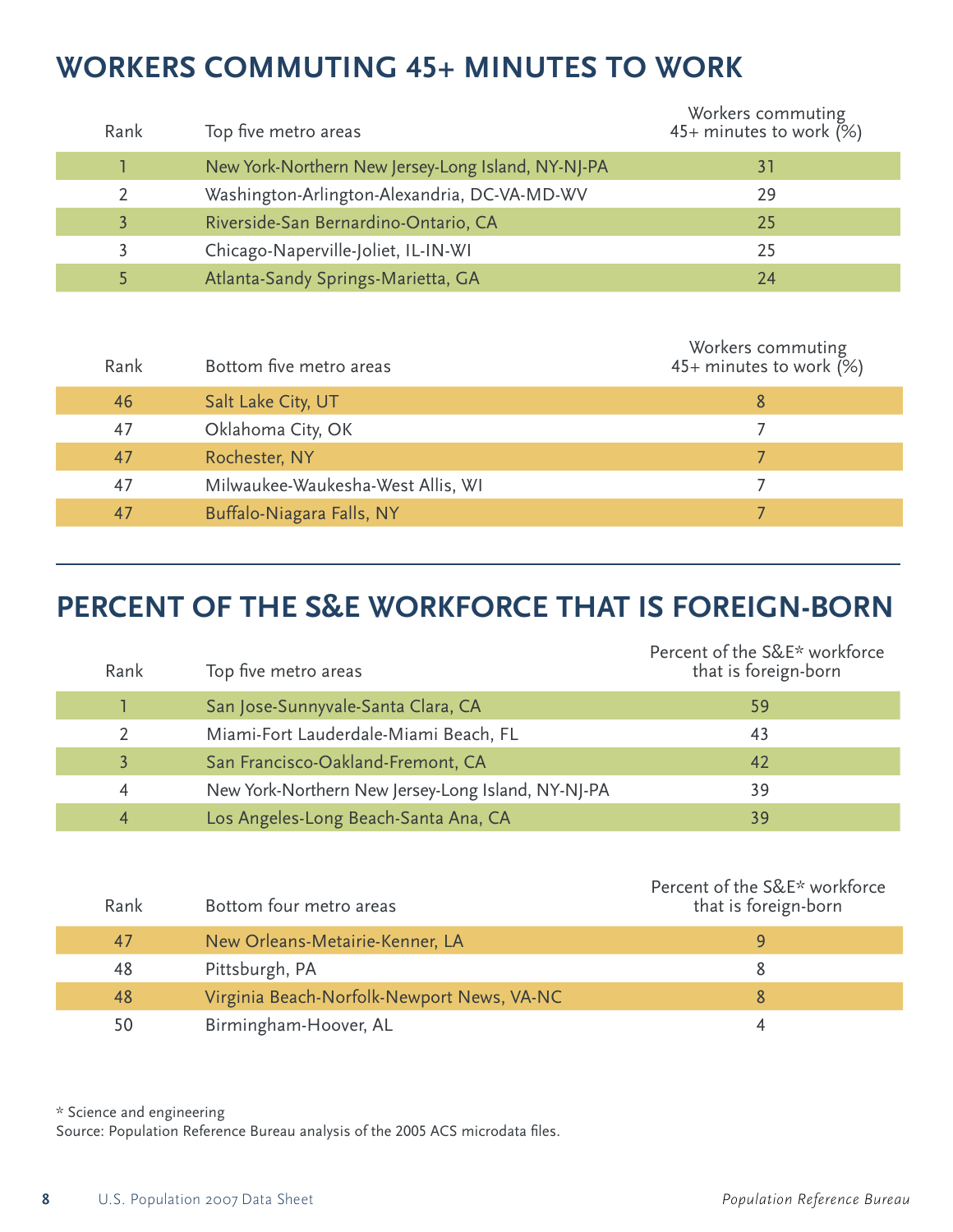# **WORKERS COMMUTING 45+ MINUTES TO WORK**

| Rank | Top five metro areas                               | Workers commuting<br>45+ minutes to work $(%)$ |
|------|----------------------------------------------------|------------------------------------------------|
|      | New York-Northern New Jersey-Long Island, NY-NJ-PA | 31                                             |
|      | Washington-Arlington-Alexandria, DC-VA-MD-WV       | 29                                             |
|      | Riverside-San Bernardino-Ontario, CA               | 25                                             |
|      | Chicago-Naperville-Joliet, IL-IN-WI                | 25                                             |
|      | Atlanta-Sandy Springs-Marietta, GA                 | 24                                             |

| Rank | Bottom five metro areas           | Workers commuting<br>45+ minutes to work (%) |
|------|-----------------------------------|----------------------------------------------|
| 46   | Salt Lake City, UT                | 8                                            |
| 47   | Oklahoma City, OK                 |                                              |
| 47   | Rochester, NY                     |                                              |
| 47   | Milwaukee-Waukesha-West Allis, WI |                                              |
| 47   | Buffalo-Niagara Falls, NY         |                                              |

# **PERCENT OF THE S&E WORKFORCE THAT IS FOREIGN-BORN**

| Rank | Top five metro areas                               | Percent of the S&E* workforce<br>that is foreign-born |
|------|----------------------------------------------------|-------------------------------------------------------|
|      | San Jose-Sunnyvale-Santa Clara, CA                 | 59                                                    |
|      | Miami-Fort Lauderdale-Miami Beach, FL              | 43                                                    |
|      | San Francisco-Oakland-Fremont, CA                  | 42                                                    |
| 4    | New York-Northern New Jersey-Long Island, NY-NJ-PA | 39                                                    |
| 4    | Los Angeles-Long Beach-Santa Ana, CA               | 39                                                    |

| Rank | Bottom four metro areas                    | Percent of the S&E* workforce<br>that is foreign-born |
|------|--------------------------------------------|-------------------------------------------------------|
| 47   | New Orleans-Metairie-Kenner, LA            | q                                                     |
| 48   | Pittsburgh, PA                             | 8                                                     |
| 48   | Virginia Beach-Norfolk-Newport News, VA-NC | 8                                                     |
| 50   | Birmingham-Hoover, AL                      | 4                                                     |

\* Science and engineering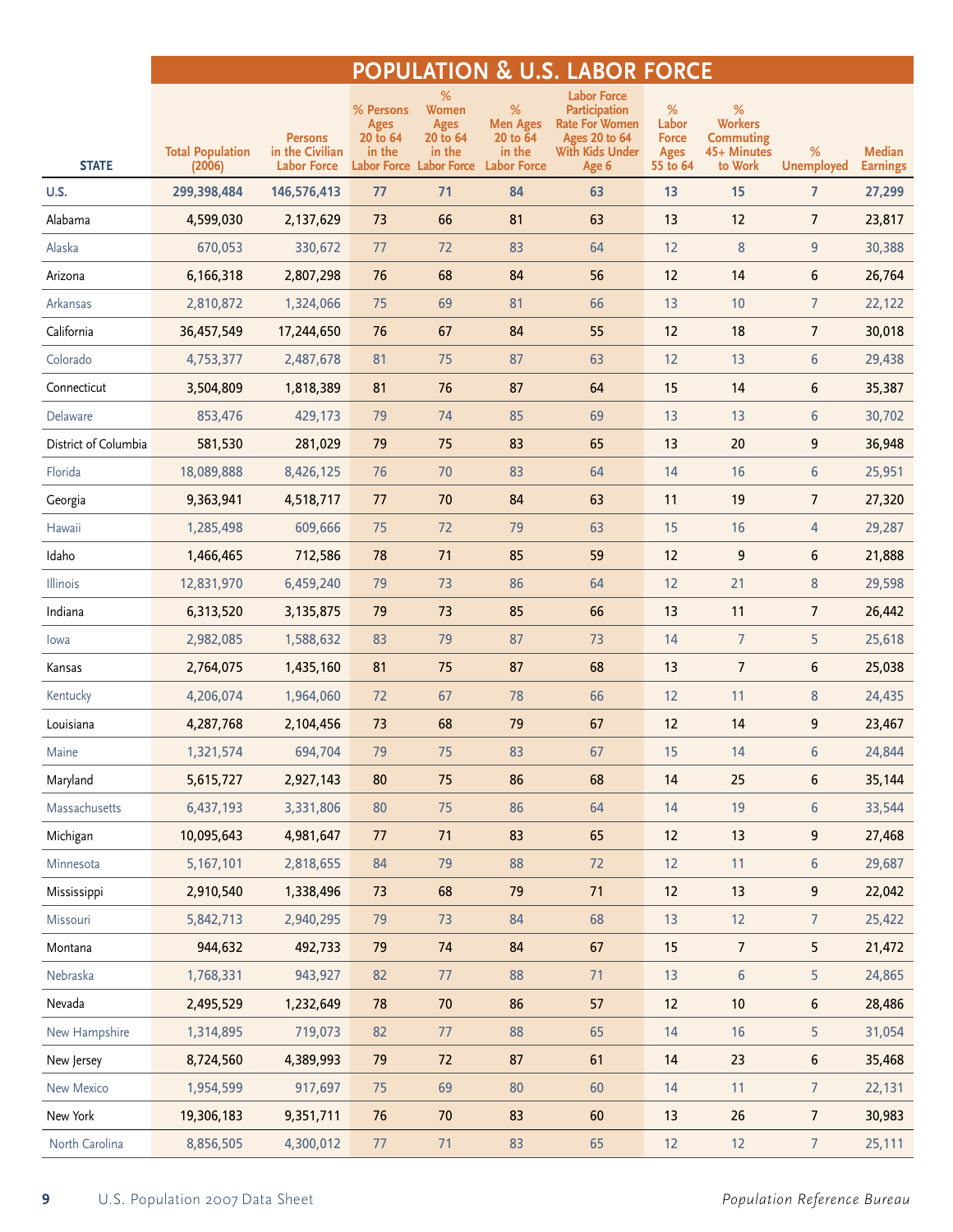## **POPULATION & U.S. LABOR FORCE**

|                      | <b>Total Population</b> | <b>Persons</b><br>in the Civilian | % Persons<br><b>Ages</b><br>20 to 64<br>in the | %<br>Women<br><b>Ages</b><br>20 to 64<br>in the | $\%$<br><b>Men Ages</b><br>20 to 64<br>in the | <b>Labor Force</b><br><b>Participation</b><br><b>Rate For Women</b><br><b>Ages 20 to 64</b><br>With Kids Under | %<br>Labor<br><b>Force</b><br><b>Ages</b> | %<br><b>Workers</b><br><b>Commuting</b><br>45+ Minutes | %                 | Median          |
|----------------------|-------------------------|-----------------------------------|------------------------------------------------|-------------------------------------------------|-----------------------------------------------|----------------------------------------------------------------------------------------------------------------|-------------------------------------------|--------------------------------------------------------|-------------------|-----------------|
| <b>STATE</b>         | (2006)                  | <b>Labor Force</b>                | <b>Labor Force Labor Force</b>                 |                                                 | <b>Labor Force</b>                            | Age 6                                                                                                          | 55 to 64                                  | to Work                                                | <b>Unemployed</b> | <b>Earnings</b> |
| U.S.                 | 299,398,484             | 146,576,413                       | 77                                             | 71                                              | 84                                            | 63                                                                                                             | 13                                        | 15                                                     | $\overline{7}$    | 27,299          |
| Alabama              | 4,599,030               | 2,137,629                         | 73                                             | 66                                              | 81                                            | 63                                                                                                             | 13                                        | 12                                                     | $\overline{7}$    | 23,817          |
| Alaska               | 670,053                 | 330,672                           | 77                                             | 72                                              | 83                                            | 64                                                                                                             | 12                                        | $\bf 8$                                                | $\overline{9}$    | 30,388          |
| Arizona              | 6,166,318               | 2,807,298                         | 76                                             | 68                                              | 84                                            | 56                                                                                                             | 12                                        | 14                                                     | 6                 | 26,764          |
| Arkansas             | 2,810,872               | 1,324,066                         | 75                                             | 69                                              | 81                                            | 66                                                                                                             | 13                                        | 10                                                     | $\overline{7}$    | 22,122          |
| California           | 36,457,549              | 17,244,650                        | 76                                             | 67                                              | 84                                            | 55                                                                                                             | 12                                        | 18                                                     | $\overline{7}$    | 30,018          |
| Colorado             | 4,753,377               | 2,487,678                         | 81                                             | 75                                              | 87                                            | 63                                                                                                             | 12                                        | 13                                                     | $\boldsymbol{6}$  | 29,438          |
| Connecticut          | 3,504,809               | 1,818,389                         | 81                                             | 76                                              | 87                                            | 64                                                                                                             | 15                                        | 14                                                     | 6                 | 35,387          |
| Delaware             | 853,476                 | 429,173                           | 79                                             | 74                                              | 85                                            | 69                                                                                                             | 13                                        | 13                                                     | $\boldsymbol{6}$  | 30,702          |
| District of Columbia | 581,530                 | 281,029                           | 79                                             | 75                                              | 83                                            | 65                                                                                                             | 13                                        | 20                                                     | 9                 | 36,948          |
| Florida              | 18,089,888              | 8,426,125                         | 76                                             | 70                                              | 83                                            | 64                                                                                                             | 14                                        | 16                                                     | $\boldsymbol{6}$  | 25,951          |
| Georgia              | 9,363,941               | 4,518,717                         | 77                                             | 70                                              | 84                                            | 63                                                                                                             | 11                                        | 19                                                     | $\overline{7}$    | 27,320          |
| Hawaii               | 1,285,498               | 609,666                           | 75                                             | 72                                              | 79                                            | 63                                                                                                             | 15                                        | 16                                                     | $\overline{4}$    | 29,287          |
| Idaho                | 1,466,465               | 712,586                           | 78                                             | 71                                              | 85                                            | 59                                                                                                             | 12                                        | 9                                                      | 6                 | 21,888          |
| Illinois             | 12,831,970              | 6,459,240                         | 79                                             | 73                                              | 86                                            | 64                                                                                                             | 12                                        | 21                                                     | $\bf 8$           | 29,598          |
| Indiana              | 6,313,520               | 3,135,875                         | 79                                             | 73                                              | 85                                            | 66                                                                                                             | 13                                        | 11                                                     | $\overline{7}$    | 26,442          |
| lowa                 | 2,982,085               | 1,588,632                         | 83                                             | 79                                              | 87                                            | 73                                                                                                             | 14                                        | $\overline{7}$                                         | 5                 | 25,618          |
| Kansas               | 2,764,075               | 1,435,160                         | 81                                             | 75                                              | 87                                            | 68                                                                                                             | 13                                        | $7\overline{ }$                                        | 6                 | 25,038          |
| Kentucky             | 4,206,074               | 1,964,060                         | 72                                             | 67                                              | 78                                            | 66                                                                                                             | 12                                        | 11                                                     | 8                 | 24,435          |
| Louisiana            | 4,287,768               | 2,104,456                         | 73                                             | 68                                              | 79                                            | 67                                                                                                             | 12                                        | 14                                                     | 9                 | 23,467          |
| Maine                | 1,321,574               | 694,704                           | 79                                             | 75                                              | 83                                            | 67                                                                                                             | 15                                        | 14                                                     | $6\phantom{1}6$   | 24,844          |
| Maryland             | 5,615,727               | 2,927,143                         | 80                                             | 75                                              | 86                                            | 68                                                                                                             | 14                                        | 25                                                     | 6                 | 35,144          |
| Massachusetts        | 6,437,193               | 3,331,806                         | 80                                             | 75                                              | 86                                            | 64                                                                                                             | 14                                        | 19                                                     | 6                 | 33,544          |
| Michigan             | 10,095,643              | 4,981,647                         | 77                                             | 71                                              | 83                                            | 65                                                                                                             | 12                                        | 13                                                     | 9                 | 27,468          |
| Minnesota            | 5,167,101               | 2,818,655                         | 84                                             | 79                                              | 88                                            | 72                                                                                                             | 12                                        | 11                                                     | 6                 | 29,687          |
| Mississippi          | 2,910,540               | 1,338,496                         | 73                                             | 68                                              | 79                                            | 71                                                                                                             | 12                                        | 13                                                     | 9                 | 22,042          |
| Missouri             | 5,842,713               | 2,940,295                         | 79                                             | 73                                              | 84                                            | 68                                                                                                             | 13                                        | 12                                                     | $\overline{7}$    | 25,422          |
| Montana              | 944,632                 | 492,733                           | 79                                             | 74                                              | 84                                            | 67                                                                                                             | 15                                        | $7\overline{ }$                                        | 5                 | 21,472          |
| Nebraska             | 1,768,331               | 943,927                           | 82                                             | 77                                              | 88                                            | 71                                                                                                             | 13                                        | $6\,$                                                  | 5                 | 24,865          |
| Nevada               | 2,495,529               | 1,232,649                         | 78                                             | 70                                              | 86                                            | 57                                                                                                             | 12                                        | $10$                                                   | 6                 | 28,486          |
| New Hampshire        | 1,314,895               | 719,073                           | 82                                             | 77                                              | 88                                            | 65                                                                                                             | 14                                        | 16                                                     | 5                 | 31,054          |
| New Jersey           | 8,724,560               | 4,389,993                         | 79                                             | 72                                              | 87                                            | 61                                                                                                             | 14                                        | 23                                                     | 6                 | 35,468          |
| New Mexico           | 1,954,599               | 917,697                           | 75                                             | 69                                              | 80                                            | 60                                                                                                             | 14                                        | 11                                                     | $\overline{7}$    | 22,131          |
| New York             | 19,306,183              | 9,351,711                         | 76                                             | 70                                              | 83                                            | 60                                                                                                             | 13                                        | 26                                                     | $\overline{7}$    | 30,983          |
| North Carolina       | 8,856,505               | 4,300,012                         | 77                                             | 71                                              | 83                                            | 65                                                                                                             | 12                                        | 12                                                     | $\overline{7}$    | 25,111          |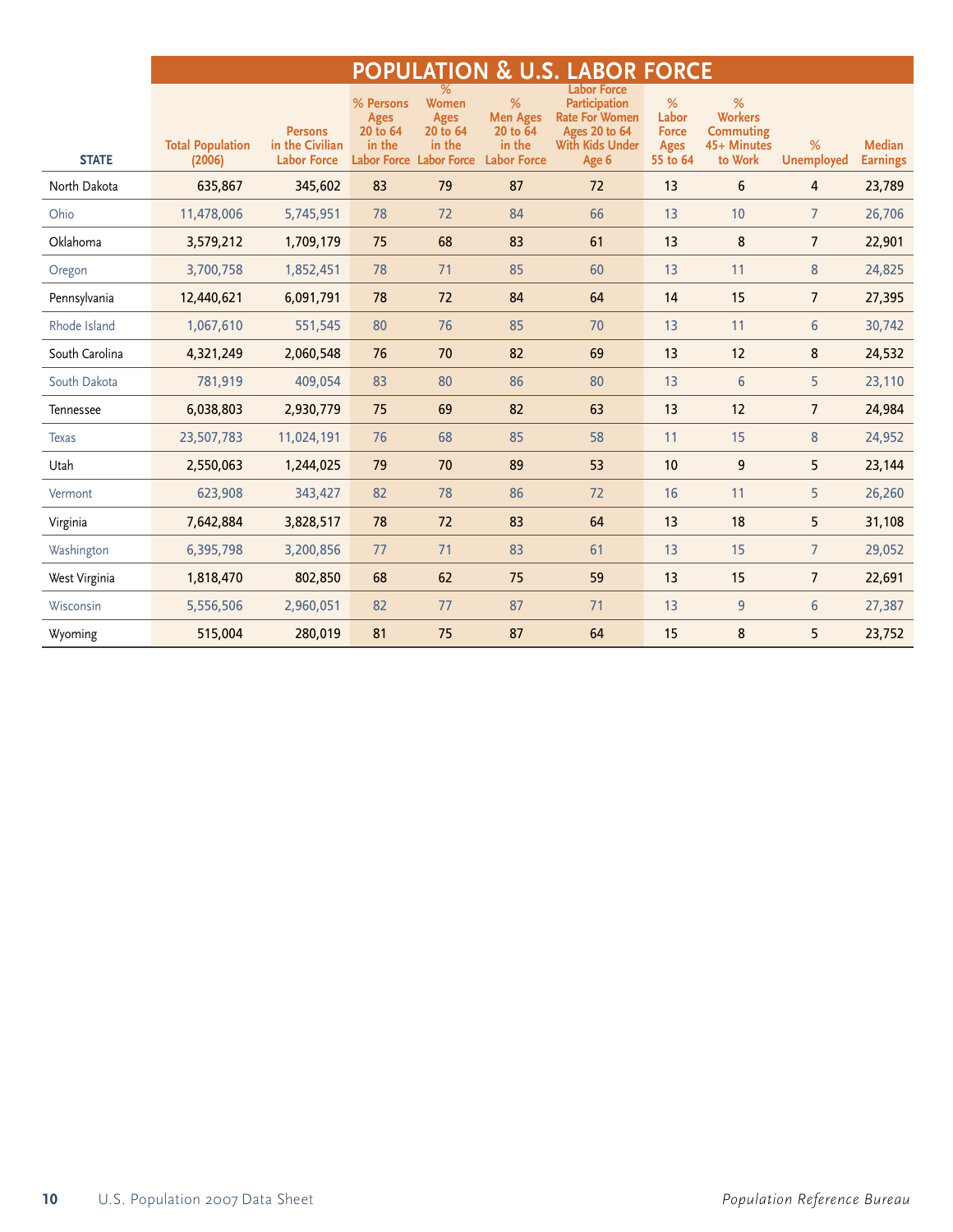|                |                         |                                   |                                                |                                                   |                                            | <b>POPULATION &amp; U.S. LABOR FORCE</b>                                                                       |                                           |                                                        |                   |                 |
|----------------|-------------------------|-----------------------------------|------------------------------------------------|---------------------------------------------------|--------------------------------------------|----------------------------------------------------------------------------------------------------------------|-------------------------------------------|--------------------------------------------------------|-------------------|-----------------|
|                | <b>Total Population</b> | <b>Persons</b><br>in the Civilian | % Persons<br><b>Ages</b><br>20 to 64<br>in the | <b>Women</b><br><b>Ages</b><br>20 to 64<br>in the | %<br><b>Men Ages</b><br>20 to 64<br>in the | <b>Labor Force</b><br>Participation<br><b>Rate For Women</b><br><b>Ages 20 to 64</b><br><b>With Kids Under</b> | ℅<br>Labor<br><b>Force</b><br><b>Ages</b> | %<br><b>Workers</b><br><b>Commuting</b><br>45+ Minutes | %                 | <b>Median</b>   |
| <b>STATE</b>   | (2006)                  | <b>Labor Force</b>                |                                                | Labor Force Labor Force                           | <b>Labor Force</b>                         | Age 6                                                                                                          | 55 to 64                                  | to Work                                                | <b>Unemployed</b> | <b>Earnings</b> |
| North Dakota   | 635,867                 | 345,602                           | 83                                             | 79                                                | 87                                         | 72                                                                                                             | 13                                        | 6                                                      | 4                 | 23,789          |
| Ohio           | 11,478,006              | 5,745,951                         | 78                                             | 72                                                | 84                                         | 66                                                                                                             | 13                                        | 10                                                     | $\overline{7}$    | 26,706          |
| Oklahoma       | 3,579,212               | 1,709,179                         | 75                                             | 68                                                | 83                                         | 61                                                                                                             | 13                                        | 8                                                      | $\overline{7}$    | 22,901          |
| Oregon         | 3,700,758               | 1,852,451                         | 78                                             | 71                                                | 85                                         | 60                                                                                                             | 13                                        | 11                                                     | 8                 | 24,825          |
| Pennsylvania   | 12,440,621              | 6,091,791                         | 78                                             | 72                                                | 84                                         | 64                                                                                                             | 14                                        | 15                                                     | $\overline{7}$    | 27,395          |
| Rhode Island   | 1,067,610               | 551,545                           | 80                                             | 76                                                | 85                                         | 70                                                                                                             | 13                                        | 11                                                     | 6                 | 30,742          |
| South Carolina | 4,321,249               | 2,060,548                         | 76                                             | 70                                                | 82                                         | 69                                                                                                             | 13                                        | 12                                                     | 8                 | 24,532          |
| South Dakota   | 781,919                 | 409,054                           | 83                                             | 80                                                | 86                                         | 80                                                                                                             | 13                                        | 6                                                      | 5                 | 23,110          |
| Tennessee      | 6,038,803               | 2,930,779                         | 75                                             | 69                                                | 82                                         | 63                                                                                                             | 13                                        | 12                                                     | $\overline{7}$    | 24,984          |
| <b>Texas</b>   | 23,507,783              | 11,024,191                        | 76                                             | 68                                                | 85                                         | 58                                                                                                             | 11                                        | 15                                                     | 8                 | 24,952          |
| Utah           | 2,550,063               | 1,244,025                         | 79                                             | 70                                                | 89                                         | 53                                                                                                             | 10                                        | 9                                                      | 5                 | 23,144          |
| Vermont        | 623,908                 | 343,427                           | 82                                             | 78                                                | 86                                         | 72                                                                                                             | 16                                        | 11                                                     | 5                 | 26,260          |
| Virginia       | 7,642,884               | 3,828,517                         | 78                                             | 72                                                | 83                                         | 64                                                                                                             | 13                                        | 18                                                     | 5                 | 31,108          |
| Washington     | 6,395,798               | 3,200,856                         | 77                                             | 71                                                | 83                                         | 61                                                                                                             | 13                                        | 15                                                     | $\overline{7}$    | 29,052          |
| West Virginia  | 1,818,470               | 802,850                           | 68                                             | 62                                                | 75                                         | 59                                                                                                             | 13                                        | 15                                                     | $\overline{7}$    | 22,691          |
| Wisconsin      | 5,556,506               | 2,960,051                         | 82                                             | 77                                                | 87                                         | 71                                                                                                             | 13                                        | 9                                                      | 6                 | 27,387          |
| Wyoming        | 515,004                 | 280,019                           | 81                                             | 75                                                | 87                                         | 64                                                                                                             | 15                                        | 8                                                      | 5                 | 23,752          |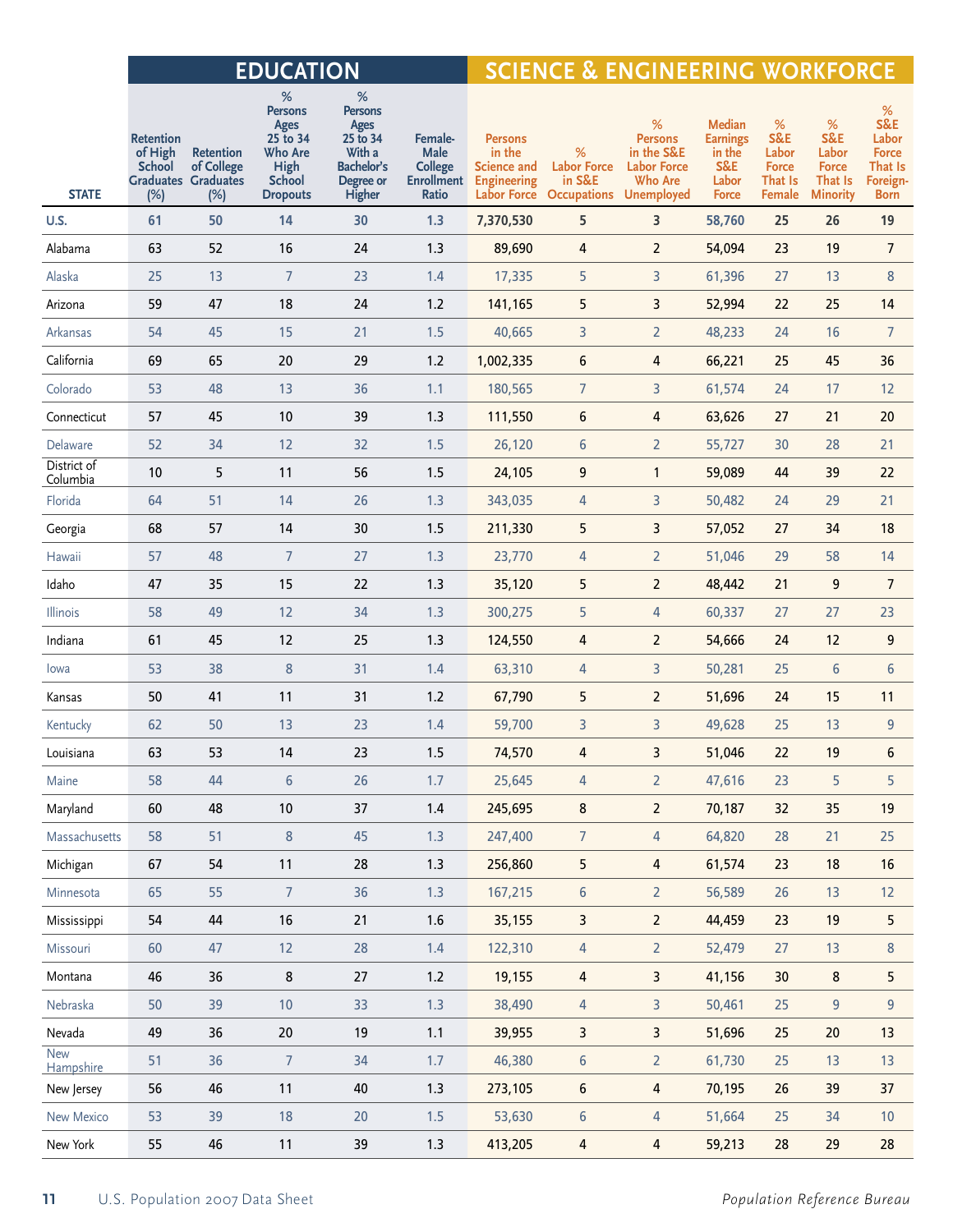|                         |                                              |                                                                     | <b>EDUCATION</b>                                                                               |                                                                                               |                                                   | <b>SCIENCE &amp; ENGINEERING WORKFORCE</b>                                      |                                                                         |                                                                           |                                                                            |                                                        |                                                                 |                                                                         |
|-------------------------|----------------------------------------------|---------------------------------------------------------------------|------------------------------------------------------------------------------------------------|-----------------------------------------------------------------------------------------------|---------------------------------------------------|---------------------------------------------------------------------------------|-------------------------------------------------------------------------|---------------------------------------------------------------------------|----------------------------------------------------------------------------|--------------------------------------------------------|-----------------------------------------------------------------|-------------------------------------------------------------------------|
| <b>STATE</b>            | Retention<br>of High<br><b>School</b><br>(%) | <b>Retention</b><br>of College<br><b>Graduates Graduates</b><br>(%) | %<br><b>Persons</b><br>Ages<br>25 to 34<br>Who Are<br>High<br><b>School</b><br><b>Dropouts</b> | %<br><b>Persons</b><br>Ages<br>25 to 34<br>With a<br><b>Bachelor's</b><br>Degree or<br>Higher | Female-<br>Male<br><b>College</b><br><b>Ratio</b> | <b>Persons</b><br>in the<br><b>Science and</b><br><b>Enrollment</b> Engineering | %<br><b>Labor Force</b><br>in S&E<br>Labor Force Occupations Unemployed | %<br><b>Persons</b><br>in the S&E<br><b>Labor Force</b><br><b>Who Are</b> | <b>Median</b><br><b>Earnings</b><br>in the<br>S&E<br>Labor<br><b>Force</b> | %<br>S&E<br>Labor<br><b>Force</b><br>That Is<br>Female | %<br>S&E<br>Labor<br><b>Force</b><br>That Is<br><b>Minority</b> | %<br>S&E<br>Labor<br>Force<br>That Is<br><b>Foreign-</b><br><b>Born</b> |
| <b>U.S.</b>             | 61                                           | 50                                                                  | 14                                                                                             | 30                                                                                            | 1.3                                               | 7,370,530                                                                       | 5                                                                       | $\overline{\mathbf{3}}$                                                   | 58,760                                                                     | 25                                                     | 26                                                              | 19                                                                      |
| Alabama                 | 63                                           | 52                                                                  | 16                                                                                             | 24                                                                                            | 1.3                                               | 89,690                                                                          | $\overline{4}$                                                          | $\overline{2}$                                                            | 54,094                                                                     | 23                                                     | 19                                                              | $\overline{7}$                                                          |
| Alaska                  | 25                                           | 13                                                                  | $\overline{7}$                                                                                 | 23                                                                                            | 1.4                                               | 17,335                                                                          | 5                                                                       | 3                                                                         | 61,396                                                                     | 27                                                     | 13                                                              | 8                                                                       |
| Arizona                 | 59                                           | 47                                                                  | 18                                                                                             | 24                                                                                            | $1.2$                                             | 141,165                                                                         | 5                                                                       | 3                                                                         | 52,994                                                                     | 22                                                     | 25                                                              | 14                                                                      |
| Arkansas                | 54                                           | 45                                                                  | 15                                                                                             | 21                                                                                            | 1.5                                               | 40,665                                                                          | 3                                                                       | $\overline{2}$                                                            | 48,233                                                                     | 24                                                     | 16                                                              | $\overline{7}$                                                          |
| California              | 69                                           | 65                                                                  | 20                                                                                             | 29                                                                                            | $1.2$                                             | 1,002,335                                                                       | $6\phantom{.}6$                                                         | $\overline{4}$                                                            | 66,221                                                                     | 25                                                     | 45                                                              | 36                                                                      |
| Colorado                | 53                                           | 48                                                                  | 13                                                                                             | 36                                                                                            | 1.1                                               | 180,565                                                                         | $\overline{7}$                                                          | 3                                                                         | 61,574                                                                     | 24                                                     | 17                                                              | 12                                                                      |
| Connecticut             | 57                                           | 45                                                                  | 10                                                                                             | 39                                                                                            | 1.3                                               | 111,550                                                                         | $6\,$                                                                   | $\overline{4}$                                                            | 63,626                                                                     | 27                                                     | 21                                                              | 20                                                                      |
| Delaware                | 52                                           | 34                                                                  | 12                                                                                             | 32                                                                                            | 1.5                                               | 26,120                                                                          | $6\,$                                                                   | $\overline{2}$                                                            | 55,727                                                                     | 30                                                     | 28                                                              | 21                                                                      |
| District of<br>Columbia | 10                                           | 5                                                                   | 11                                                                                             | 56                                                                                            | 1.5                                               | 24,105                                                                          | $\boldsymbol{9}$                                                        | $\mathbf{1}$                                                              | 59,089                                                                     | 44                                                     | 39                                                              | 22                                                                      |
| Florida                 | 64                                           | 51                                                                  | 14                                                                                             | 26                                                                                            | 1.3                                               | 343,035                                                                         | $\overline{4}$                                                          | 3                                                                         | 50,482                                                                     | 24                                                     | 29                                                              | 21                                                                      |
| Georgia                 | 68                                           | 57                                                                  | 14                                                                                             | 30                                                                                            | 1.5                                               | 211,330                                                                         | 5                                                                       | $\overline{3}$                                                            | 57,052                                                                     | 27                                                     | 34                                                              | 18                                                                      |
| Hawaii                  | 57                                           | 48                                                                  | $\overline{7}$                                                                                 | 27                                                                                            | 1.3                                               | 23,770                                                                          | $\overline{4}$                                                          | $\overline{2}$                                                            | 51,046                                                                     | 29                                                     | 58                                                              | 14                                                                      |
| Idaho                   | 47                                           | 35                                                                  | 15                                                                                             | 22                                                                                            | 1.3                                               | 35,120                                                                          | 5                                                                       | $\overline{2}$                                                            | 48,442                                                                     | 21                                                     | 9                                                               | $\overline{7}$                                                          |
| Illinois                | 58                                           | 49                                                                  | 12                                                                                             | 34                                                                                            | 1.3                                               | 300,275                                                                         | 5                                                                       | $\overline{4}$                                                            | 60,337                                                                     | 27                                                     | 27                                                              | 23                                                                      |
| Indiana                 | 61                                           | 45                                                                  | 12                                                                                             | 25                                                                                            | 1.3                                               | 124,550                                                                         | 4                                                                       | $\overline{2}$                                                            | 54,666                                                                     | 24                                                     | 12                                                              | 9                                                                       |
| lowa                    | 53                                           | 38                                                                  | $\bf 8$                                                                                        | 31                                                                                            | 1.4                                               | 63,310                                                                          | 4                                                                       | 3                                                                         | 50,281                                                                     | 25                                                     | $6\,$                                                           | $6\phantom{.}6$                                                         |
| Kansas                  | 50                                           | 41                                                                  | 11                                                                                             | 31                                                                                            | $1.2$                                             | 67,790                                                                          | 5                                                                       | $\overline{2}$                                                            | 51,696                                                                     | 24                                                     | 15                                                              | 11                                                                      |
| Kentucky                | 62                                           | 50                                                                  | 13                                                                                             | 23                                                                                            | 1.4                                               | 59,700                                                                          | 3                                                                       | 3                                                                         | 49,628                                                                     | 25                                                     | 13                                                              | 9                                                                       |
| Louisiana               | 63                                           | 53                                                                  | 14                                                                                             | 23                                                                                            | 1.5                                               | 74,570                                                                          | $\overline{4}$                                                          | $\overline{\mathbf{3}}$                                                   | 51,046                                                                     | 22                                                     | 19                                                              | $6\overline{6}$                                                         |
| Maine                   | 58                                           | 44                                                                  | $\sqrt{6}$                                                                                     | 26                                                                                            | 1.7                                               | 25,645                                                                          | $\overline{4}$                                                          | $\overline{2}$                                                            | 47,616                                                                     | 23                                                     | 5                                                               | 5                                                                       |
| Maryland                | 60                                           | 48                                                                  | $10\,$                                                                                         | 37                                                                                            | $1.4\,$                                           | 245,695                                                                         | $\bf 8$                                                                 | $\overline{a}$                                                            | 70,187                                                                     | 32                                                     | 35                                                              | 19                                                                      |
| Massachusetts           | 58                                           | 51                                                                  | $\bf 8$                                                                                        | 45                                                                                            | 1.3                                               | 247,400                                                                         | $\overline{7}$                                                          | $\overline{4}$                                                            | 64,820                                                                     | 28                                                     | 21                                                              | 25                                                                      |
| Michigan                | 67                                           | 54                                                                  | 11                                                                                             | 28                                                                                            | 1.3                                               | 256,860                                                                         | 5                                                                       | 4                                                                         | 61,574                                                                     | 23                                                     | 18                                                              | 16                                                                      |
| Minnesota               | 65                                           | 55                                                                  | $\overline{7}$                                                                                 | 36                                                                                            | 1.3                                               | 167,215                                                                         | $\boldsymbol{6}$                                                        | $\overline{2}$                                                            | 56,589                                                                     | 26                                                     | 13                                                              | 12                                                                      |
| Mississippi             | 54                                           | 44                                                                  | 16                                                                                             | 21                                                                                            | $1.6\,$                                           | 35,155                                                                          | 3                                                                       | $\overline{2}$                                                            | 44,459                                                                     | 23                                                     | 19                                                              | 5                                                                       |
| Missouri                | 60                                           | 47                                                                  | 12                                                                                             | 28                                                                                            | $1.4$                                             | 122,310                                                                         | $\overline{4}$                                                          | $\overline{2}$                                                            | 52,479                                                                     | 27                                                     | 13                                                              | $\bf 8$                                                                 |
| Montana                 | 46                                           | 36                                                                  | $\bf 8$                                                                                        | 27                                                                                            | $1.2$                                             | 19,155                                                                          | $\overline{4}$                                                          | 3                                                                         | 41,156                                                                     | 30                                                     | $\bf 8$                                                         | 5                                                                       |
| Nebraska                | 50                                           | 39                                                                  | $10$                                                                                           | 33                                                                                            | 1.3                                               | 38,490                                                                          | $\overline{4}$                                                          | $\overline{3}$                                                            | 50,461                                                                     | 25                                                     | $9\,$                                                           | 9                                                                       |
| Nevada                  | 49                                           | 36                                                                  | 20 <sub>2</sub>                                                                                | 19                                                                                            | 1.1                                               | 39,955                                                                          | $\overline{\mathbf{3}}$                                                 | 3                                                                         | 51,696                                                                     | 25                                                     | 20                                                              | 13                                                                      |
| <b>New</b><br>Hampshire | 51                                           | 36                                                                  | $\overline{7}$                                                                                 | 34                                                                                            | 1.7                                               | 46,380                                                                          | $\boldsymbol{6}$                                                        | $\overline{2}$                                                            | 61,730                                                                     | 25                                                     | 13                                                              | 13                                                                      |
| New Jersey              | 56                                           | 46                                                                  | 11                                                                                             | 40                                                                                            | 1.3                                               | 273,105                                                                         | $\boldsymbol{6}$                                                        | 4                                                                         | 70,195                                                                     | 26                                                     | 39                                                              | 37                                                                      |
| New Mexico              | 53                                           | 39                                                                  | 18                                                                                             | $20\,$                                                                                        | 1.5                                               | 53,630                                                                          | $\boldsymbol{6}$                                                        | $\overline{4}$                                                            | 51,664                                                                     | 25                                                     | 34                                                              | $10\,$                                                                  |
| New York                | 55                                           | 46                                                                  | 11                                                                                             | 39                                                                                            | 1.3                                               | 413,205                                                                         | $\overline{a}$                                                          | $\overline{a}$                                                            | 59,213                                                                     | 28                                                     | 29                                                              | 28                                                                      |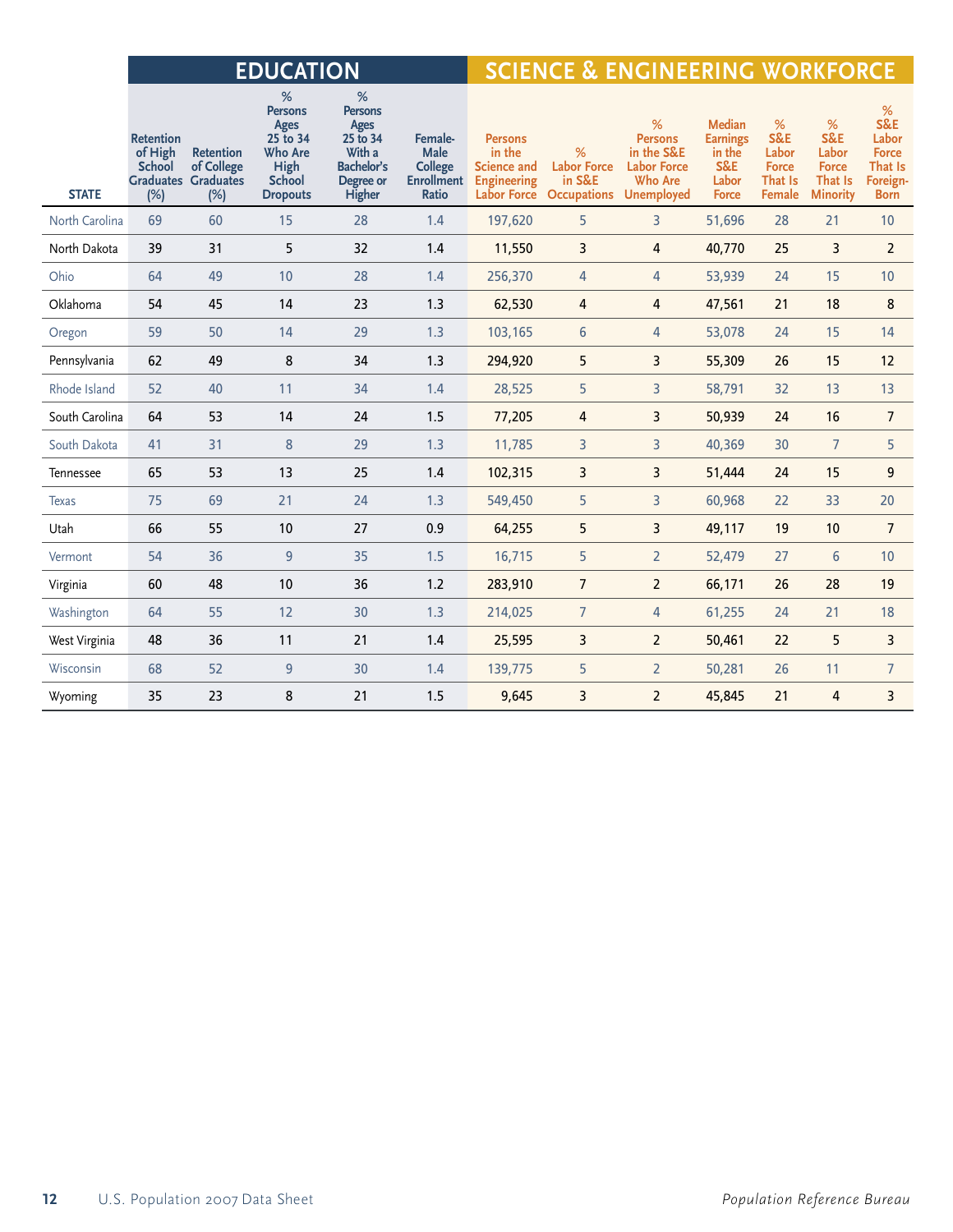|                |                                                     |                                                                     | <b>EDUCATION</b>                                                                                      |                                                                                               |                                                                        |                                                                                     | <b>SCIENCE &amp; ENGINEERING WORKFORCE</b>              |                                                                                         |                                                                            |                                                               |                                                                 |                                                                               |  |  |
|----------------|-----------------------------------------------------|---------------------------------------------------------------------|-------------------------------------------------------------------------------------------------------|-----------------------------------------------------------------------------------------------|------------------------------------------------------------------------|-------------------------------------------------------------------------------------|---------------------------------------------------------|-----------------------------------------------------------------------------------------|----------------------------------------------------------------------------|---------------------------------------------------------------|-----------------------------------------------------------------|-------------------------------------------------------------------------------|--|--|
| <b>STATE</b>   | <b>Retention</b><br>of High<br><b>School</b><br>(%) | <b>Retention</b><br>of College<br><b>Graduates Graduates</b><br>(%) | %<br><b>Persons</b><br>Ages<br>25 to 34<br><b>Who Are</b><br>High<br><b>School</b><br><b>Dropouts</b> | %<br><b>Persons</b><br>Ages<br>25 to 34<br>With a<br><b>Bachelor's</b><br>Degree or<br>Higher | Female-<br>Male<br><b>College</b><br><b>Enrollment</b><br><b>Ratio</b> | <b>Persons</b><br>in the<br><b>Science and</b><br><b>Engineering</b><br>Labor Force | %<br><b>Labor Force</b><br>in S&E<br><b>Occupations</b> | %<br><b>Persons</b><br>in the S&E<br><b>Labor Force</b><br><b>Who Are</b><br>Unemployed | <b>Median</b><br><b>Earnings</b><br>in the<br>S&E<br>Labor<br><b>Force</b> | %<br>S&E<br>Labor<br><b>Force</b><br>That Is<br><b>Female</b> | %<br>S&E<br>Labor<br><b>Force</b><br>That Is<br><b>Minority</b> | %<br>S&E<br>Labor<br><b>Force</b><br><b>That Is</b><br>Foreign<br><b>Born</b> |  |  |
| North Carolina | 69                                                  | 60                                                                  | 15                                                                                                    | 28                                                                                            | 1.4                                                                    | 197,620                                                                             | 5                                                       | $\overline{3}$                                                                          | 51,696                                                                     | 28                                                            | 21                                                              | 10                                                                            |  |  |
| North Dakota   | 39                                                  | 31                                                                  | 5                                                                                                     | 32                                                                                            | 1.4                                                                    | 11,550                                                                              | 3                                                       | $\overline{4}$                                                                          | 40,770                                                                     | 25                                                            | 3                                                               | $\overline{2}$                                                                |  |  |
| Ohio           | 64                                                  | 49                                                                  | 10                                                                                                    | 28                                                                                            | 1.4                                                                    | 256,370                                                                             | 4                                                       | 4                                                                                       | 53,939                                                                     | 24                                                            | 15                                                              | 10                                                                            |  |  |
| Oklahoma       | 54                                                  | 45                                                                  | 14                                                                                                    | 23                                                                                            | 1.3                                                                    | 62,530                                                                              | 4                                                       | $\overline{4}$                                                                          | 47,561                                                                     | 21                                                            | 18                                                              | 8                                                                             |  |  |
| Oregon         | 59                                                  | 50                                                                  | 14                                                                                                    | 29                                                                                            | 1.3                                                                    | 103,165                                                                             | 6                                                       | $\overline{4}$                                                                          | 53,078                                                                     | 24                                                            | 15                                                              | 14                                                                            |  |  |
| Pennsylvania   | 62                                                  | 49                                                                  | 8                                                                                                     | 34                                                                                            | 1.3                                                                    | 294,920                                                                             | 5                                                       | 3                                                                                       | 55,309                                                                     | 26                                                            | 15                                                              | 12                                                                            |  |  |
| Rhode Island   | 52                                                  | 40                                                                  | 11                                                                                                    | 34                                                                                            | 1.4                                                                    | 28,525                                                                              | 5                                                       | $\overline{3}$                                                                          | 58,791                                                                     | 32                                                            | 13                                                              | 13                                                                            |  |  |
| South Carolina | 64                                                  | 53                                                                  | 14                                                                                                    | 24                                                                                            | 1.5                                                                    | 77,205                                                                              | 4                                                       | 3                                                                                       | 50,939                                                                     | 24                                                            | 16                                                              | $\overline{7}$                                                                |  |  |
| South Dakota   | 41                                                  | 31                                                                  | 8                                                                                                     | 29                                                                                            | 1.3                                                                    | 11,785                                                                              | 3                                                       | 3                                                                                       | 40,369                                                                     | 30                                                            | $\overline{7}$                                                  | 5                                                                             |  |  |
| Tennessee      | 65                                                  | 53                                                                  | 13                                                                                                    | 25                                                                                            | 1.4                                                                    | 102,315                                                                             | 3                                                       | 3                                                                                       | 51,444                                                                     | 24                                                            | 15                                                              | 9                                                                             |  |  |
| <b>Texas</b>   | 75                                                  | 69                                                                  | 21                                                                                                    | 24                                                                                            | 1.3                                                                    | 549,450                                                                             | 5                                                       | $\overline{3}$                                                                          | 60,968                                                                     | 22                                                            | 33                                                              | 20                                                                            |  |  |
| Utah           | 66                                                  | 55                                                                  | 10                                                                                                    | 27                                                                                            | 0.9                                                                    | 64,255                                                                              | 5                                                       | $\overline{3}$                                                                          | 49,117                                                                     | 19                                                            | 10                                                              | $\overline{7}$                                                                |  |  |
| Vermont        | 54                                                  | 36                                                                  | 9                                                                                                     | 35                                                                                            | 1.5                                                                    | 16,715                                                                              | 5                                                       | $\overline{2}$                                                                          | 52,479                                                                     | 27                                                            | 6                                                               | 10                                                                            |  |  |
| Virginia       | 60                                                  | 48                                                                  | 10                                                                                                    | 36                                                                                            | 1.2                                                                    | 283,910                                                                             | $\overline{7}$                                          | $\overline{2}$                                                                          | 66,171                                                                     | 26                                                            | 28                                                              | 19                                                                            |  |  |
| Washington     | 64                                                  | 55                                                                  | 12                                                                                                    | 30                                                                                            | 1.3                                                                    | 214,025                                                                             | $\overline{7}$                                          | $\overline{4}$                                                                          | 61,255                                                                     | 24                                                            | 21                                                              | 18                                                                            |  |  |
| West Virginia  | 48                                                  | 36                                                                  | 11                                                                                                    | 21                                                                                            | 1.4                                                                    | 25,595                                                                              | 3                                                       | $\overline{2}$                                                                          | 50,461                                                                     | 22                                                            | 5                                                               | 3                                                                             |  |  |
| Wisconsin      | 68                                                  | 52                                                                  | 9                                                                                                     | 30                                                                                            | 1.4                                                                    | 139,775                                                                             | 5                                                       | $\overline{2}$                                                                          | 50,281                                                                     | 26                                                            | 11                                                              | $\overline{7}$                                                                |  |  |
| Wyoming        | 35                                                  | 23                                                                  | 8                                                                                                     | 21                                                                                            | 1.5                                                                    | 9,645                                                                               | 3                                                       | $\overline{2}$                                                                          | 45,845                                                                     | 21                                                            | 4                                                               | 3                                                                             |  |  |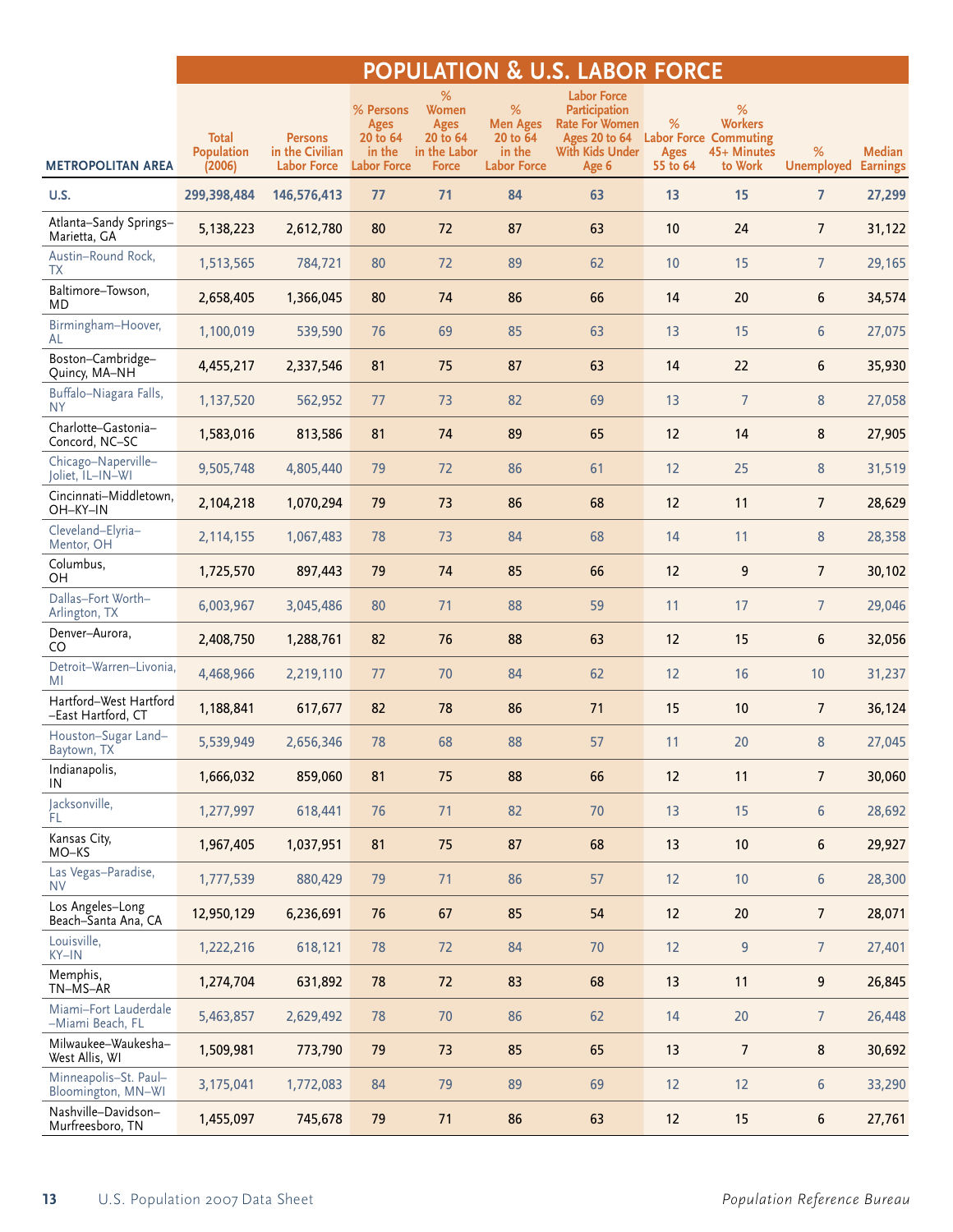## **POPULATION & U.S. LABOR FORCE**

|                                              | <b>Total</b>                | <b>Persons</b>                        | % Persons<br><b>Ages</b><br>20 to 64 | %<br>Women<br>Ages<br>20 to 64 | %<br><b>Men Ages</b><br>20 to 64 | <b>Labor Force</b><br>Participation<br><b>Rate For Women</b><br>Ages 20 to 64 | %                       | %<br><b>Workers</b><br><b>Labor Force Commuting</b> |                        |                                  |
|----------------------------------------------|-----------------------------|---------------------------------------|--------------------------------------|--------------------------------|----------------------------------|-------------------------------------------------------------------------------|-------------------------|-----------------------------------------------------|------------------------|----------------------------------|
| <b>METROPOLITAN AREA</b>                     | <b>Population</b><br>(2006) | in the Civilian<br><b>Labor Force</b> | in the<br><b>Labor Force</b>         | in the Labor<br><b>Force</b>   | in the<br><b>Labor Force</b>     | With Kids Under<br>Age 6                                                      | <b>Ages</b><br>55 to 64 | 45+ Minutes<br>to Work                              | %<br><b>Unemployed</b> | <b>Median</b><br><b>Earnings</b> |
| U.S.                                         | 299,398,484                 | 146,576,413                           | 77                                   | 71                             | 84                               | 63                                                                            | 13                      | 15                                                  | $\overline{7}$         | 27,299                           |
| Atlanta-Sandy Springs-<br>Marietta, GA       | 5,138,223                   | 2,612,780                             | 80                                   | 72                             | 87                               | 63                                                                            | 10                      | 24                                                  | $\overline{7}$         | 31,122                           |
| Austin-Round Rock,<br>ТX                     | 1,513,565                   | 784,721                               | 80                                   | 72                             | 89                               | 62                                                                            | 10                      | 15                                                  | $7^{\circ}$            | 29,165                           |
| Baltimore-Towson,<br>MD                      | 2,658,405                   | 1,366,045                             | 80                                   | 74                             | 86                               | 66                                                                            | 14                      | 20                                                  | 6                      | 34,574                           |
| Birmingham-Hoover,<br>AL                     | 1,100,019                   | 539,590                               | 76                                   | 69                             | 85                               | 63                                                                            | 13                      | 15                                                  | 6                      | 27,075                           |
| Boston-Cambridge-<br>Quincy, MA-NH           | 4,455,217                   | 2,337,546                             | 81                                   | 75                             | 87                               | 63                                                                            | 14                      | 22                                                  | 6                      | 35,930                           |
| Buffalo-Niagara Falls,<br>NY.                | 1,137,520                   | 562,952                               | 77                                   | 73                             | 82                               | 69                                                                            | 13                      | $\overline{7}$                                      | 8                      | 27,058                           |
| Charlotte-Gastonia-<br>Concord, NC-SC        | 1,583,016                   | 813,586                               | 81                                   | 74                             | 89                               | 65                                                                            | 12                      | 14                                                  | 8                      | 27,905                           |
| Chicago-Naperville-<br>Joliet, IL-IN-WI      | 9,505,748                   | 4,805,440                             | 79                                   | 72                             | 86                               | 61                                                                            | 12                      | 25                                                  | 8                      | 31,519                           |
| Cincinnati-Middletown,<br>OH-KY-IN           | 2,104,218                   | 1,070,294                             | 79                                   | 73                             | 86                               | 68                                                                            | 12                      | 11                                                  | $\overline{7}$         | 28,629                           |
| Cleveland-Elyria-<br>Mentor, OH              | 2,114,155                   | 1,067,483                             | 78                                   | 73                             | 84                               | 68                                                                            | 14                      | 11                                                  | 8                      | 28,358                           |
| Columbus,<br>OН                              | 1,725,570                   | 897,443                               | 79                                   | 74                             | 85                               | 66                                                                            | 12                      | 9                                                   | $\overline{7}$         | 30,102                           |
| Dallas-Fort Worth-<br>Arlington, TX          | 6,003,967                   | 3,045,486                             | 80                                   | 71                             | 88                               | 59                                                                            | 11                      | 17                                                  | $\overline{7}$         | 29,046                           |
| Denver-Aurora,<br>CO                         | 2,408,750                   | 1,288,761                             | 82                                   | 76                             | 88                               | 63                                                                            | 12                      | 15                                                  | 6                      | 32,056                           |
| Detroit-Warren-Livonia,<br>MI                | 4,468,966                   | 2,219,110                             | 77                                   | $70$                           | 84                               | 62                                                                            | 12                      | 16                                                  | $10$                   | 31,237                           |
| Hartford-West Hartford<br>-East Hartford, CT | 1,188,841                   | 617,677                               | 82                                   | 78                             | 86                               | 71                                                                            | 15                      | 10                                                  | $\overline{7}$         | 36,124                           |
| Houston-Sugar Land-<br>Baytown, TX           | 5,539,949                   | 2,656,346                             | 78                                   | 68                             | 88                               | 57                                                                            | 11                      | 20                                                  | 8                      | 27,045                           |
| Indianapolis,<br>IN                          | 1,666,032                   | 859,060                               | 81                                   | 75                             | 88                               | 66                                                                            | 12                      | 11                                                  | 7                      | 30,060                           |
| Jacksonville,<br>ΈL.                         | 1,277,997                   | 618,441                               | 76                                   | 71                             | 82                               | 70                                                                            | 13                      | 15                                                  | 6                      | 28,692                           |
| Kansas City,<br>MO-KS                        | 1,967,405                   | 1,037,951                             | 81                                   | 75                             | 87                               | 68                                                                            | 13                      | 10                                                  | 6                      | 29,927                           |
| Las Vegas-Paradise,<br><b>NV</b>             | 1,777,539                   | 880,429                               | 79                                   | 71                             | 86                               | 57                                                                            | 12                      | 10                                                  | 6                      | 28,300                           |
| Los Angeles-Long<br>Beach-Santa Ana, CA      | 12,950,129                  | 6,236,691                             | 76                                   | 67                             | 85                               | 54                                                                            | 12                      | 20                                                  | 7                      | 28,071                           |
| Louisville,<br>KY-IN                         | 1,222,216                   | 618,121                               | 78                                   | 72                             | 84                               | $70$                                                                          | 12                      | 9                                                   | 7 <sup>1</sup>         | 27,401                           |
| Memphis,<br>TN-MS-AR                         | 1,274,704                   | 631,892                               | 78                                   | 72                             | 83                               | 68                                                                            | 13                      | 11                                                  | 9                      | 26,845                           |
| Miami-Fort Lauderdale<br>-Miami Beach, FL    | 5,463,857                   | 2,629,492                             | 78                                   | 70                             | 86                               | 62                                                                            | 14                      | $20\,$                                              | 7                      | 26,448                           |
| Milwaukee-Waukesha-<br>West Allis, WI        | 1,509,981                   | 773,790                               | 79                                   | 73                             | 85                               | 65                                                                            | 13                      | $\overline{7}$                                      | 8                      | 30,692                           |
| Minneapolis-St. Paul-<br>Bloomington, MN-WI  | 3,175,041                   | 1,772,083                             | 84                                   | 79                             | 89                               | 69                                                                            | 12                      | 12                                                  | 6                      | 33,290                           |
| Nashville-Davidson-<br>Murfreesboro, TN      | 1,455,097                   | 745,678                               | 79                                   | 71                             | 86                               | 63                                                                            | 12                      | 15                                                  | 6                      | 27,761                           |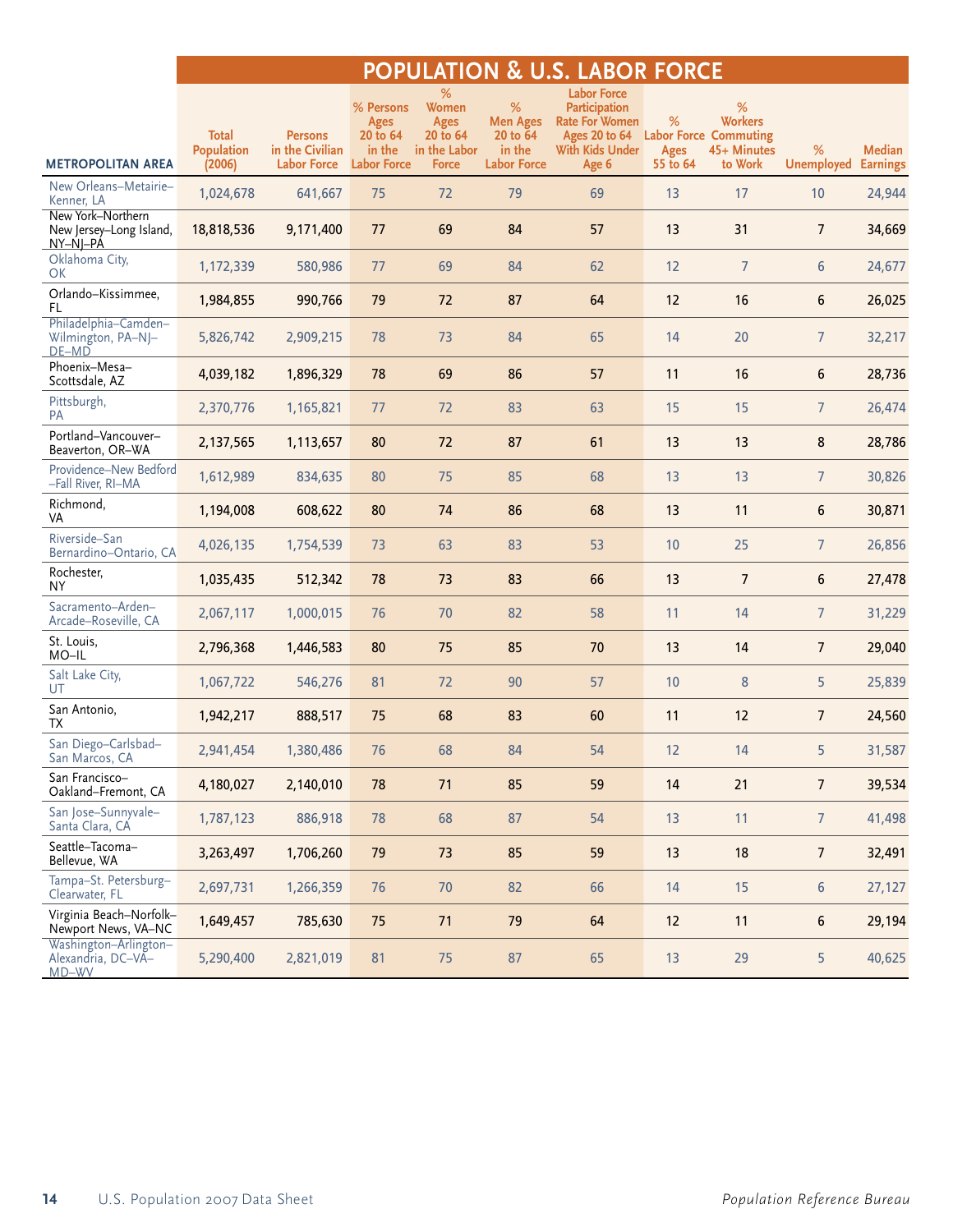## **POPULATION & U.S. LABOR FORCE**

|                                                          | <b>Total</b>                | <b>Persons</b>                        | % Persons<br>Ages<br>20 to 64 | %<br>Women<br><b>Ages</b><br>20 to 64 | %<br><b>Men Ages</b><br>20 to 64 | <b>Labor Force</b><br><b>Participation</b><br><b>Rate For Women</b><br>Ages 20 to 64 | %                       | %<br><b>Workers</b><br><b>Labor Force Commuting</b> |                        |                           |
|----------------------------------------------------------|-----------------------------|---------------------------------------|-------------------------------|---------------------------------------|----------------------------------|--------------------------------------------------------------------------------------|-------------------------|-----------------------------------------------------|------------------------|---------------------------|
| <b>METROPOLITAN AREA</b>                                 | <b>Population</b><br>(2006) | in the Civilian<br><b>Labor Force</b> | in the<br><b>Labor Force</b>  | in the Labor<br><b>Force</b>          | in the<br><b>Labor Force</b>     | With Kids Under<br>Age 6                                                             | <b>Ages</b><br>55 to 64 | 45+ Minutes<br>to Work                              | %<br><b>Unemployed</b> | Median<br><b>Earnings</b> |
| New Orleans-Metairie-<br>Kenner, LA                      | 1,024,678                   | 641,667                               | 75                            | 72                                    | 79                               | 69                                                                                   | 13                      | 17                                                  | 10                     | 24,944                    |
| New York-Northern<br>New Jersey-Long Island,<br>NY-NJ-PA | 18,818,536                  | 9,171,400                             | 77                            | 69                                    | 84                               | 57                                                                                   | 13                      | 31                                                  | $\overline{7}$         | 34,669                    |
| Oklahoma City,<br>OK                                     | 1,172,339                   | 580,986                               | 77                            | 69                                    | 84                               | 62                                                                                   | 12                      | $\overline{7}$                                      | 6                      | 24,677                    |
| Orlando-Kissimmee,<br>FL.                                | 1,984,855                   | 990,766                               | 79                            | 72                                    | 87                               | 64                                                                                   | 12                      | 16                                                  | 6                      | 26,025                    |
| Philadelphia-Camden-<br>Wilmington, PA-NJ-<br>DE-MD      | 5,826,742                   | 2,909,215                             | 78                            | 73                                    | 84                               | 65                                                                                   | 14                      | 20                                                  | $\overline{7}$         | 32,217                    |
| Phoenix-Mesa-<br>Scottsdale, AZ                          | 4,039,182                   | 1,896,329                             | 78                            | 69                                    | 86                               | 57                                                                                   | 11                      | 16                                                  | 6                      | 28,736                    |
| Pittsburgh,<br>PA                                        | 2,370,776                   | 1,165,821                             | 77                            | 72                                    | 83                               | 63                                                                                   | 15                      | 15                                                  | $\overline{7}$         | 26,474                    |
| Portland-Vancouver-<br>Beaverton, OR-WA                  | 2,137,565                   | 1,113,657                             | 80                            | 72                                    | 87                               | 61                                                                                   | 13                      | 13                                                  | 8                      | 28,786                    |
| Providence-New Bedford<br>-Fall River, RI-MA             | 1,612,989                   | 834,635                               | 80                            | 75                                    | 85                               | 68                                                                                   | 13                      | 13                                                  | $\overline{7}$         | 30,826                    |
| Richmond,<br>VA                                          | 1,194,008                   | 608,622                               | 80                            | 74                                    | 86                               | 68                                                                                   | 13                      | 11                                                  | 6                      | 30,871                    |
| Riverside-San<br>Bernardino-Ontario, CA                  | 4,026,135                   | 1,754,539                             | 73                            | 63                                    | 83                               | 53                                                                                   | 10                      | 25                                                  | $7^{\circ}$            | 26,856                    |
| Rochester,<br><b>NY</b>                                  | 1,035,435                   | 512,342                               | 78                            | 73                                    | 83                               | 66                                                                                   | 13                      | $\overline{7}$                                      | 6                      | 27,478                    |
| Sacramento-Arden-<br>Arcade-Roseville, CA                | 2,067,117                   | 1,000,015                             | 76                            | 70                                    | 82                               | 58                                                                                   | 11                      | 14                                                  | $7^{\circ}$            | 31,229                    |
| St. Louis,<br>MO-IL                                      | 2,796,368                   | 1,446,583                             | 80                            | 75                                    | 85                               | 70                                                                                   | 13                      | 14                                                  | $7\overline{ }$        | 29,040                    |
| Salt Lake City,<br>UT                                    | 1,067,722                   | 546,276                               | 81                            | 72                                    | 90                               | 57                                                                                   | 10                      | 8                                                   | 5                      | 25,839                    |
| San Antonio,<br>TX                                       | 1,942,217                   | 888,517                               | 75                            | 68                                    | 83                               | 60                                                                                   | 11                      | 12                                                  | $\overline{7}$         | 24,560                    |
| San Diego-Carlsbad-<br>San Marcos, CA                    | 2,941,454                   | 1,380,486                             | 76                            | 68                                    | 84                               | 54                                                                                   | 12                      | 14                                                  | 5                      | 31,587                    |
| San Francisco-<br>Oakland-Fremont, CA                    | 4,180,027                   | 2,140,010                             | 78                            | 71                                    | 85                               | 59                                                                                   | 14                      | 21                                                  | 7                      | 39,534                    |
| San Jose-Sunnyvale-<br>Santa Clara, CA                   | 1,787,123                   | 886,918                               | 78                            | 68                                    | 87                               | 54                                                                                   | 13                      | 11                                                  | 7 <sup>1</sup>         | 41,498                    |
| Seattle-Tacoma-<br>Bellevue, WA                          | 3,263,497                   | 1,706,260                             | 79                            | 73                                    | 85                               | 59                                                                                   | 13                      | 18                                                  | 7 <sup>7</sup>         | 32,491                    |
| Tampa-St. Petersburg-<br>Clearwater, FL                  | 2,697,731                   | 1,266,359                             | 76                            | 70                                    | 82                               | 66                                                                                   | 14                      | 15                                                  | 6                      | 27,127                    |
| Virginia Beach-Norfolk-<br>Newport News, VA-NC           | 1,649,457                   | 785,630                               | 75                            | 71                                    | 79                               | 64                                                                                   | 12                      | 11                                                  | 6                      | 29,194                    |
| Washington-Arlington-<br>Alexandria, DC-VA-<br>MD-WV     | 5,290,400                   | 2,821,019                             | 81                            | 75                                    | 87                               | 65                                                                                   | 13                      | 29                                                  | 5                      | 40,625                    |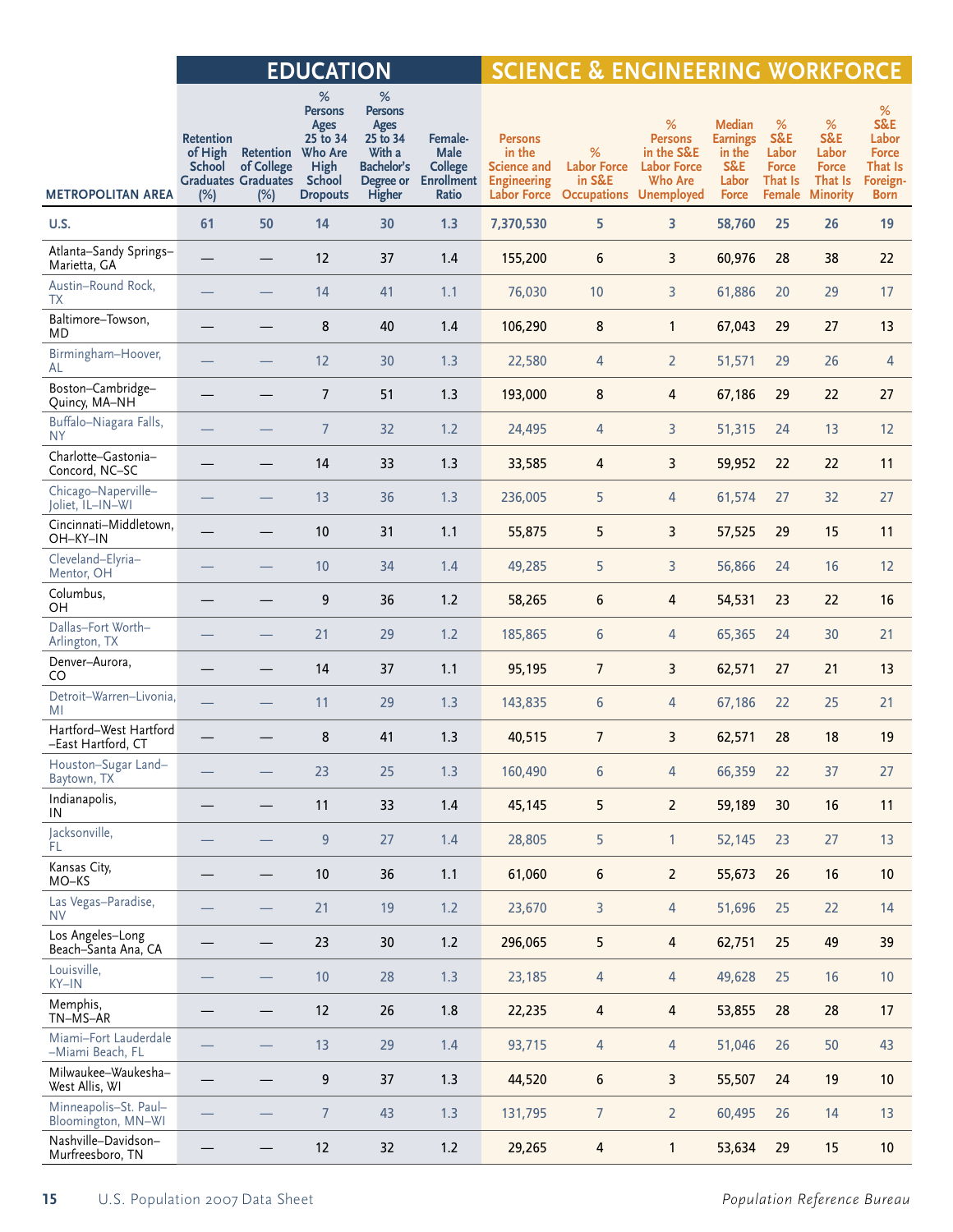|                                              |                                                     |                                                                      | <b>EDUCATION</b>                                                                              |                                                                                                  |                                                                        | <b>SCIENCE &amp; ENGINEERING WORKFORCE</b>                                          |                                                         |                                                                                                |                                                                            |                                                        |                                                                 |                                                                                   |  |
|----------------------------------------------|-----------------------------------------------------|----------------------------------------------------------------------|-----------------------------------------------------------------------------------------------|--------------------------------------------------------------------------------------------------|------------------------------------------------------------------------|-------------------------------------------------------------------------------------|---------------------------------------------------------|------------------------------------------------------------------------------------------------|----------------------------------------------------------------------------|--------------------------------------------------------|-----------------------------------------------------------------|-----------------------------------------------------------------------------------|--|
| <b>METROPOLITAN AREA</b>                     | <b>Retention</b><br>of High<br><b>School</b><br>(%) | Retention Who Are<br>of College<br><b>Graduates Graduates</b><br>(%) | $\%$<br><b>Persons</b><br>Ages<br>25 to 34<br><b>High</b><br><b>School</b><br><b>Dropouts</b> | $\%$<br><b>Persons</b><br>Ages<br>25 to 34<br>With a<br><b>Bachelor's</b><br>Degree or<br>Higher | Female-<br><b>Male</b><br><b>College</b><br><b>Enrollment</b><br>Ratio | <b>Persons</b><br>in the<br><b>Science and</b><br><b>Engineering</b><br>Labor Force | %<br><b>Labor Force</b><br>in S&E<br><b>Occupations</b> | %<br><b>Persons</b><br>in the S&E<br><b>Labor Force</b><br><b>Who Are</b><br><b>Unemployed</b> | <b>Median</b><br><b>Earnings</b><br>in the<br>S&E<br>Labor<br><b>Force</b> | %<br>S&E<br>Labor<br><b>Force</b><br>That Is<br>Female | %<br>S&E<br>Labor<br><b>Force</b><br>That Is<br><b>Minority</b> | %<br><b>S&amp;E</b><br>Labor<br><b>Force</b><br>That Is<br>Foreign<br><b>Born</b> |  |
| U.S.                                         | 61                                                  | 50                                                                   | 14                                                                                            | 30                                                                                               | 1.3                                                                    | 7,370,530                                                                           | 5                                                       | 3                                                                                              | 58,760                                                                     | 25                                                     | 26                                                              | 19                                                                                |  |
| Atlanta-Sandy Springs-<br>Marietta, GA       |                                                     |                                                                      | 12                                                                                            | 37                                                                                               | 1.4                                                                    | 155,200                                                                             | 6                                                       | 3                                                                                              | 60,976                                                                     | 28                                                     | 38                                                              | 22                                                                                |  |
| Austin-Round Rock,<br>ТX                     |                                                     |                                                                      | 14                                                                                            | 41                                                                                               | 1.1                                                                    | 76,030                                                                              | 10                                                      | 3                                                                                              | 61,886                                                                     | 20                                                     | 29                                                              | 17                                                                                |  |
| Baltimore-Towson,<br>MD                      |                                                     |                                                                      | 8                                                                                             | 40                                                                                               | 1.4                                                                    | 106,290                                                                             | 8                                                       | $\mathbf{1}$                                                                                   | 67,043                                                                     | 29                                                     | 27                                                              | 13                                                                                |  |
| Birmingham-Hoover,<br>AL                     |                                                     |                                                                      | 12                                                                                            | 30                                                                                               | 1.3                                                                    | 22,580                                                                              | 4                                                       | $\overline{2}$                                                                                 | 51,571                                                                     | 29                                                     | 26                                                              | 4                                                                                 |  |
| Boston-Cambridge-<br>Quincy, MA-NH           |                                                     |                                                                      | $\overline{7}$                                                                                | 51                                                                                               | 1.3                                                                    | 193,000                                                                             | 8                                                       | 4                                                                                              | 67,186                                                                     | 29                                                     | 22                                                              | 27                                                                                |  |
| Buffalo-Niagara Falls,<br><b>NY</b>          |                                                     |                                                                      | $\overline{7}$                                                                                | 32                                                                                               | 1.2                                                                    | 24,495                                                                              | 4                                                       | 3                                                                                              | 51,315                                                                     | 24                                                     | 13                                                              | 12                                                                                |  |
| Charlotte-Gastonia-<br>Concord, NC-SC        |                                                     |                                                                      | 14                                                                                            | 33                                                                                               | 1.3                                                                    | 33,585                                                                              | 4                                                       | 3                                                                                              | 59,952                                                                     | 22                                                     | 22                                                              | 11                                                                                |  |
| Chicago-Naperville-<br>Joliet, IL-IN-WI      |                                                     |                                                                      | 13                                                                                            | 36                                                                                               | 1.3                                                                    | 236,005                                                                             | 5                                                       | 4                                                                                              | 61,574                                                                     | 27                                                     | 32                                                              | 27                                                                                |  |
| Cincinnati-Middletown,<br>OH-KY-IN           |                                                     |                                                                      | 10                                                                                            | 31                                                                                               | 1.1                                                                    | 55,875                                                                              | 5                                                       | 3                                                                                              | 57,525                                                                     | 29                                                     | 15                                                              | 11                                                                                |  |
| Cleveland-Elyria-<br>Mentor, OH              |                                                     | $\overline{\phantom{0}}$                                             | 10                                                                                            | 34                                                                                               | 1.4                                                                    | 49,285                                                                              | 5                                                       | 3                                                                                              | 56,866                                                                     | 24                                                     | 16                                                              | 12                                                                                |  |
| Columbus,<br>OH                              |                                                     |                                                                      | 9                                                                                             | 36                                                                                               | 1.2                                                                    | 58,265                                                                              | 6                                                       | 4                                                                                              | 54,531                                                                     | 23                                                     | 22                                                              | 16                                                                                |  |
| Dallas-Fort Worth-<br>Arlington, TX          |                                                     |                                                                      | 21                                                                                            | 29                                                                                               | 1.2                                                                    | 185,865                                                                             | 6                                                       | 4                                                                                              | 65,365                                                                     | 24                                                     | 30                                                              | 21                                                                                |  |
| Denver-Aurora,<br>CO.                        |                                                     |                                                                      | 14                                                                                            | 37                                                                                               | 1.1                                                                    | 95,195                                                                              | $\overline{7}$                                          | 3                                                                                              | 62,571                                                                     | 27                                                     | 21                                                              | 13                                                                                |  |
| Detroit-Warren-Livonia,<br>MI                |                                                     |                                                                      | 11                                                                                            | 29                                                                                               | 1.3                                                                    | 143,835                                                                             | 6                                                       | 4                                                                                              | 67,186                                                                     | 22                                                     | 25                                                              | 21                                                                                |  |
| Hartford-West Hartford<br>-East Hartford, CT |                                                     |                                                                      | 8                                                                                             | 41                                                                                               | 1.3                                                                    | 40,515                                                                              | $\overline{7}$                                          | 3                                                                                              | 62,571                                                                     | 28                                                     | 18                                                              | 19                                                                                |  |
| Houston-Sugar Land-<br>Baytown, TX           |                                                     |                                                                      | 23                                                                                            | 25                                                                                               | 1.3                                                                    | 160,490                                                                             | 6                                                       | 4                                                                                              | 66,359                                                                     | 22                                                     | 37                                                              | 27                                                                                |  |
| Indianapolis,<br>IN                          |                                                     |                                                                      | 11                                                                                            | 33                                                                                               | $1.4$                                                                  | 45,145                                                                              | 5                                                       | $\overline{2}$                                                                                 | 59,189                                                                     | 30                                                     | 16                                                              | 11                                                                                |  |
| Jacksonville,<br>FL.                         |                                                     |                                                                      | 9                                                                                             | 27                                                                                               | 1.4                                                                    | 28,805                                                                              | 5                                                       | $\mathbf{1}$                                                                                   | 52,145                                                                     | 23                                                     | 27                                                              | 13                                                                                |  |
| Kansas City,<br>MO-KS                        |                                                     |                                                                      | $10$                                                                                          | 36                                                                                               | 1.1                                                                    | 61,060                                                                              | 6                                                       | 2                                                                                              | 55,673                                                                     | 26                                                     | 16                                                              | 10                                                                                |  |
| Las Vegas-Paradise,<br><b>NV</b>             |                                                     |                                                                      | 21                                                                                            | 19                                                                                               | 1.2                                                                    | 23,670                                                                              | 3                                                       | 4                                                                                              | 51,696                                                                     | 25                                                     | 22                                                              | 14                                                                                |  |
| Los Angeles-Long<br>Beach-Santa Ana, CA      |                                                     |                                                                      | 23                                                                                            | 30                                                                                               | 1.2                                                                    | 296,065                                                                             | 5                                                       | 4                                                                                              | 62,751                                                                     | 25                                                     | 49                                                              | 39                                                                                |  |
| Louisville,<br>$KY-IN$                       |                                                     |                                                                      | $10$                                                                                          | 28                                                                                               | 1.3                                                                    | 23,185                                                                              | 4                                                       | 4                                                                                              | 49,628                                                                     | 25                                                     | 16                                                              | $10\,$                                                                            |  |
| Memphis,<br>TN-MS-AR                         |                                                     |                                                                      | 12                                                                                            | 26                                                                                               | 1.8                                                                    | 22,235                                                                              | 4                                                       | 4                                                                                              | 53,855                                                                     | 28                                                     | 28                                                              | 17                                                                                |  |
| Miami-Fort Lauderdale<br>-Miami Beach, FL    |                                                     |                                                                      | 13                                                                                            | 29                                                                                               | 1.4                                                                    | 93,715                                                                              | 4                                                       | $\overline{4}$                                                                                 | 51,046                                                                     | 26                                                     | 50                                                              | 43                                                                                |  |
| Milwaukee-Waukesha-<br>West Allis, WI        |                                                     |                                                                      | 9                                                                                             | 37                                                                                               | 1.3                                                                    | 44,520                                                                              | 6                                                       | 3                                                                                              | 55,507                                                                     | 24                                                     | 19                                                              | 10                                                                                |  |
| Minneapolis-St. Paul-<br>Bloomington, MN-WI  |                                                     |                                                                      | $\overline{7}$                                                                                | 43                                                                                               | 1.3                                                                    | 131,795                                                                             | $\overline{7}$                                          | $\overline{2}$                                                                                 | 60,495                                                                     | 26                                                     | 14                                                              | 13                                                                                |  |
| Nashville-Davidson-<br>Murfreesboro, TN      |                                                     |                                                                      | 12                                                                                            | 32                                                                                               | 1.2                                                                    | 29,265                                                                              | 4                                                       | $\mathbf{1}$                                                                                   | 53,634                                                                     | 29                                                     | 15                                                              | 10 <sup>°</sup>                                                                   |  |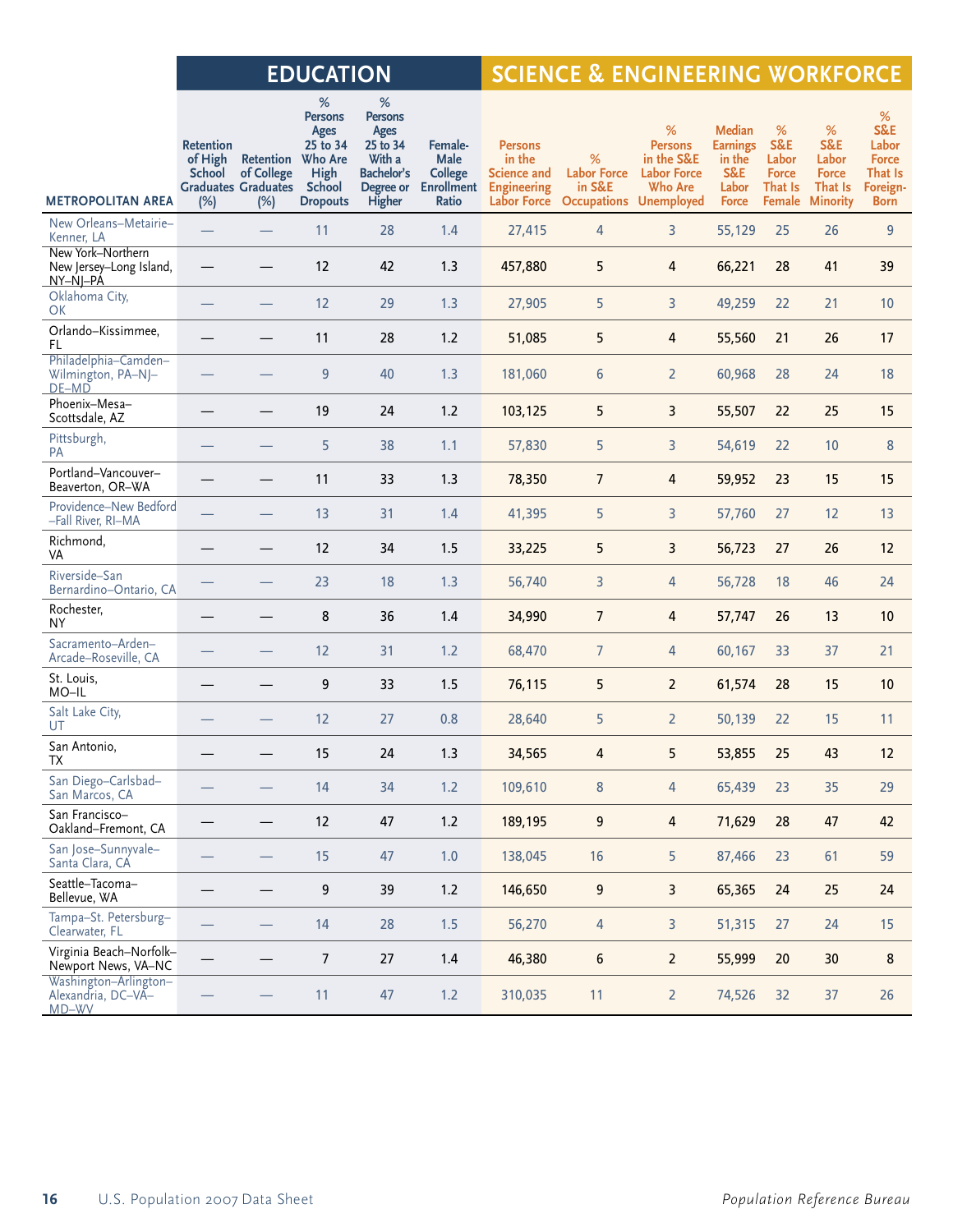# **EDUCATION SCIENCE & ENGINEERING WORKFORCE**

|                                                          | <b>Retention</b><br>of High<br>School | <b>Retention</b> Who Are<br>of College<br><b>Graduates Graduates</b> | %<br><b>Persons</b><br>Ages<br>25 to 34<br>High<br>School | %<br>Persons<br>Ages<br>25 to 34<br>With a<br>Bachelor's<br>Degree or | Female-<br><b>Male</b><br><b>College</b><br><b>Enrollment</b> | <b>Persons</b><br>in the<br>Science and<br><b>Engineering</b> | %<br><b>Labor Force</b><br>in S&E | %<br><b>Persons</b><br>in the S&E<br><b>Labor Force</b><br><b>Who Are</b> | <b>Median</b><br><b>Earnings</b><br>in the<br>S&E<br>Labor | %<br>S&E<br>Labor<br><b>Force</b><br>That Is | %<br>S&E<br>Labor<br><b>Force</b><br>That Is | %<br>S&E<br>Labor<br><b>Force</b><br>That Is<br>Foreign- |
|----------------------------------------------------------|---------------------------------------|----------------------------------------------------------------------|-----------------------------------------------------------|-----------------------------------------------------------------------|---------------------------------------------------------------|---------------------------------------------------------------|-----------------------------------|---------------------------------------------------------------------------|------------------------------------------------------------|----------------------------------------------|----------------------------------------------|----------------------------------------------------------|
| <b>METROPOLITAN AREA</b>                                 | (%)                                   | (%)                                                                  | <b>Dropouts</b>                                           | Higher                                                                | Ratio                                                         | Labor Force                                                   | <b>Occupations Unemployed</b>     |                                                                           | <b>Force</b>                                               |                                              | <b>Female Minority</b>                       | <b>Born</b>                                              |
| New Orleans-Metairie-<br>Kenner, LA                      | $\qquad \qquad$                       | $\qquad \qquad$                                                      | 11                                                        | 28                                                                    | 1.4                                                           | 27,415                                                        | $\overline{4}$                    | 3                                                                         | 55,129                                                     | 25                                           | 26                                           | 9                                                        |
| New York-Northern<br>New Jersey-Long Island,<br>NY-NJ-PA |                                       |                                                                      | 12                                                        | 42                                                                    | 1.3                                                           | 457,880                                                       | 5                                 | 4                                                                         | 66,221                                                     | 28                                           | 41                                           | 39                                                       |
| Oklahoma City,<br>OK                                     |                                       |                                                                      | 12                                                        | 29                                                                    | 1.3                                                           | 27,905                                                        | 5                                 | 3                                                                         | 49,259                                                     | 22                                           | 21                                           | 10                                                       |
| Orlando-Kissimmee,<br>FL.                                |                                       | $\overline{\phantom{0}}$                                             | 11                                                        | 28                                                                    | 1.2                                                           | 51,085                                                        | 5                                 | 4                                                                         | 55,560                                                     | 21                                           | 26                                           | 17                                                       |
| Philadelphia-Camden-<br>Wilmington, PA-NJ-<br>$DE-MD$    | $\overline{\phantom{0}}$              | $\qquad \qquad$                                                      | 9                                                         | 40                                                                    | 1.3                                                           | 181,060                                                       | 6                                 | $\overline{2}$                                                            | 60,968                                                     | 28                                           | 24                                           | 18                                                       |
| Phoenix-Mesa-<br>Scottsdale, AZ                          |                                       | —                                                                    | 19                                                        | 24                                                                    | 1.2                                                           | 103,125                                                       | 5                                 | 3                                                                         | 55,507                                                     | 22                                           | 25                                           | 15                                                       |
| Pittsburgh,<br>PA                                        |                                       |                                                                      | 5                                                         | 38                                                                    | 1.1                                                           | 57,830                                                        | 5                                 | 3                                                                         | 54,619                                                     | 22                                           | 10                                           | 8                                                        |
| Portland-Vancouver-<br>Beaverton, OR-WA                  |                                       |                                                                      | 11                                                        | 33                                                                    | 1.3                                                           | 78,350                                                        | $\overline{7}$                    | 4                                                                         | 59,952                                                     | 23                                           | 15                                           | 15                                                       |
| Providence-New Bedford<br>-Fall River, RI-MA             |                                       | $\qquad \qquad$                                                      | 13                                                        | 31                                                                    | 1.4                                                           | 41,395                                                        | 5                                 | 3                                                                         | 57,760                                                     | 27                                           | 12                                           | 13                                                       |
| Richmond,<br>VA                                          |                                       |                                                                      | 12                                                        | 34                                                                    | 1.5                                                           | 33,225                                                        | 5                                 | 3                                                                         | 56,723                                                     | 27                                           | 26                                           | 12                                                       |
| Riverside-San<br>Bernardino-Ontario, CA                  |                                       |                                                                      | 23                                                        | 18                                                                    | 1.3                                                           | 56,740                                                        | 3                                 | 4                                                                         | 56,728                                                     | 18                                           | 46                                           | 24                                                       |
| Rochester,<br>NY.                                        |                                       | —                                                                    | 8                                                         | 36                                                                    | 1.4                                                           | 34,990                                                        | $\overline{7}$                    | 4                                                                         | 57,747                                                     | 26                                           | 13                                           | 10                                                       |
| Sacramento-Arden-<br>Arcade-Roseville, CA                |                                       |                                                                      | 12                                                        | 31                                                                    | 1.2                                                           | 68,470                                                        | $\overline{7}$                    | 4                                                                         | 60,167                                                     | 33                                           | 37                                           | 21                                                       |
| St. Louis,<br>MO-IL                                      |                                       |                                                                      | 9                                                         | 33                                                                    | 1.5                                                           | 76,115                                                        | 5                                 | $\overline{2}$                                                            | 61,574                                                     | 28                                           | 15                                           | 10                                                       |
| Salt Lake City,<br>UT                                    |                                       |                                                                      | 12                                                        | 27                                                                    | 0.8                                                           | 28,640                                                        | 5                                 | $\overline{2}$                                                            | 50,139                                                     | 22                                           | 15                                           | 11                                                       |
| San Antonio,<br>ТX                                       | —                                     |                                                                      | 15                                                        | 24                                                                    | 1.3                                                           | 34,565                                                        | 4                                 | 5                                                                         | 53,855                                                     | 25                                           | 43                                           | 12                                                       |
| San Diego-Carlsbad-<br>San Marcos, CA                    |                                       |                                                                      | 14                                                        | 34                                                                    | 1.2                                                           | 109,610                                                       | 8                                 | 4                                                                         | 65,439                                                     | 23                                           | 35                                           | 29                                                       |
| San Francisco-<br>Oakland-Fremont, CA                    |                                       |                                                                      | 12                                                        | 47                                                                    | 1.2                                                           | 189,195                                                       | 9                                 | $\overline{4}$                                                            | 71,629                                                     | 28                                           | 47                                           | 42                                                       |
| San Jose-Sunnyvale-<br>Santa Clara, CA                   |                                       |                                                                      | 15                                                        | 47                                                                    | 1.0                                                           | 138,045                                                       | 16                                | 5                                                                         | 87,466                                                     | 23                                           | 61                                           | 59                                                       |
| Seattle-Tacoma-<br>Bellevue, WA                          |                                       |                                                                      | 9                                                         | 39                                                                    | $1.2$                                                         | 146,650                                                       | 9                                 | 3                                                                         | 65,365                                                     | 24                                           | 25                                           | 24                                                       |
| Tampa-St. Petersburg-<br>Clearwater, FL                  |                                       |                                                                      | 14                                                        | 28                                                                    | 1.5                                                           | 56,270                                                        | 4                                 | 3                                                                         | 51,315                                                     | 27                                           | 24                                           | 15                                                       |
| Virginia Beach-Norfolk-<br>Newport News, VA-NC           |                                       |                                                                      | $\boldsymbol{7}$                                          | 27                                                                    | $1.4$                                                         | 46,380                                                        | $\boldsymbol{6}$                  | $\overline{2}$                                                            | 55,999                                                     | $20\,$                                       | $30\,$                                       | $\bf 8$                                                  |
| Washington-Arlington-<br>Alexandria, DC-VA-<br>MD-WV     |                                       |                                                                      | 11                                                        | 47                                                                    | 1.2                                                           | 310,035                                                       | 11                                | $\overline{2}$                                                            | 74,526                                                     | 32                                           | 37                                           | 26                                                       |